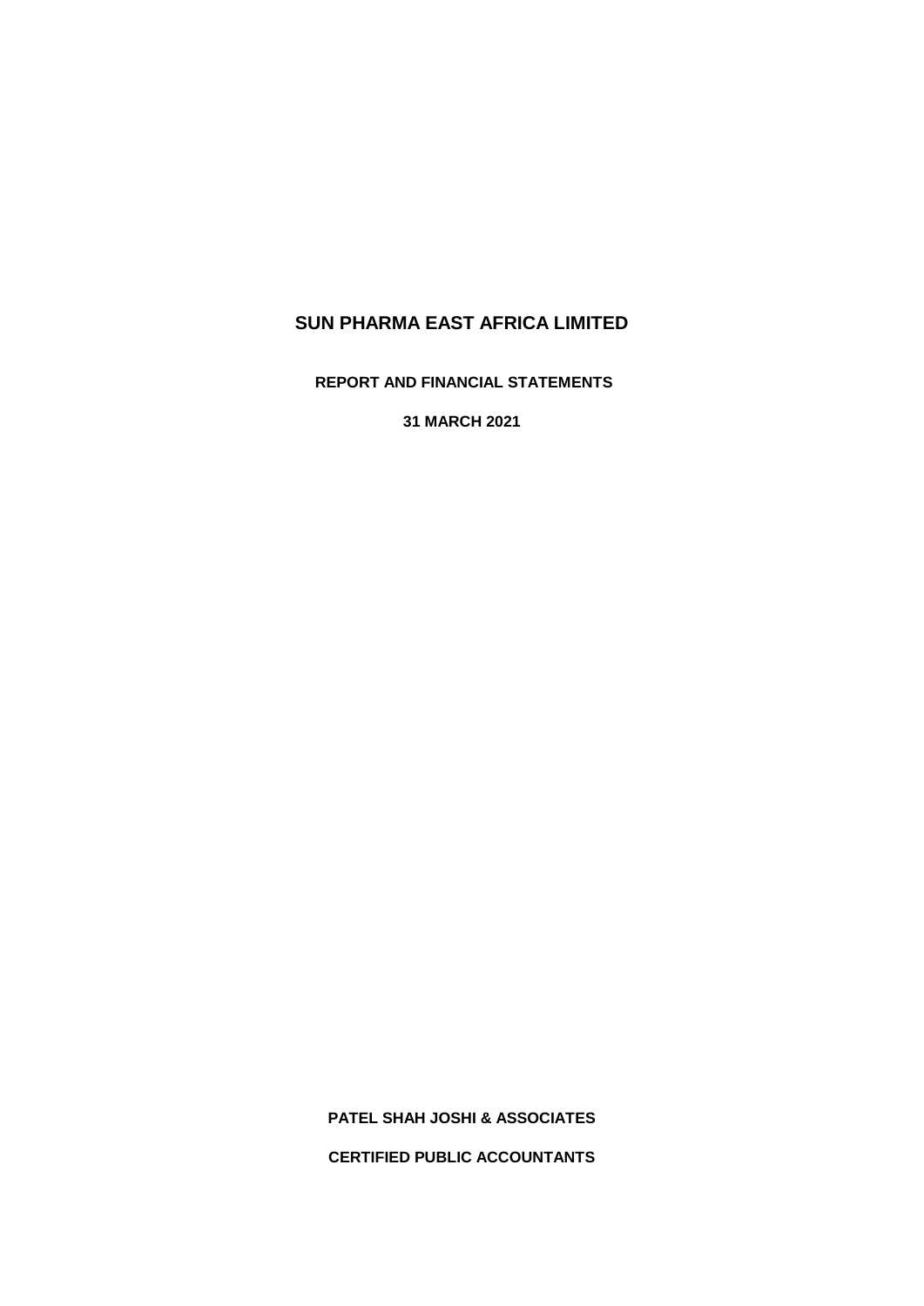**REPORT AND FINANCIAL STATEMENTS**

**31 MARCH 2021**

**PATEL SHAH JOSHI & ASSOCIATES**

**CERTIFIED PUBLIC ACCOUNTANTS**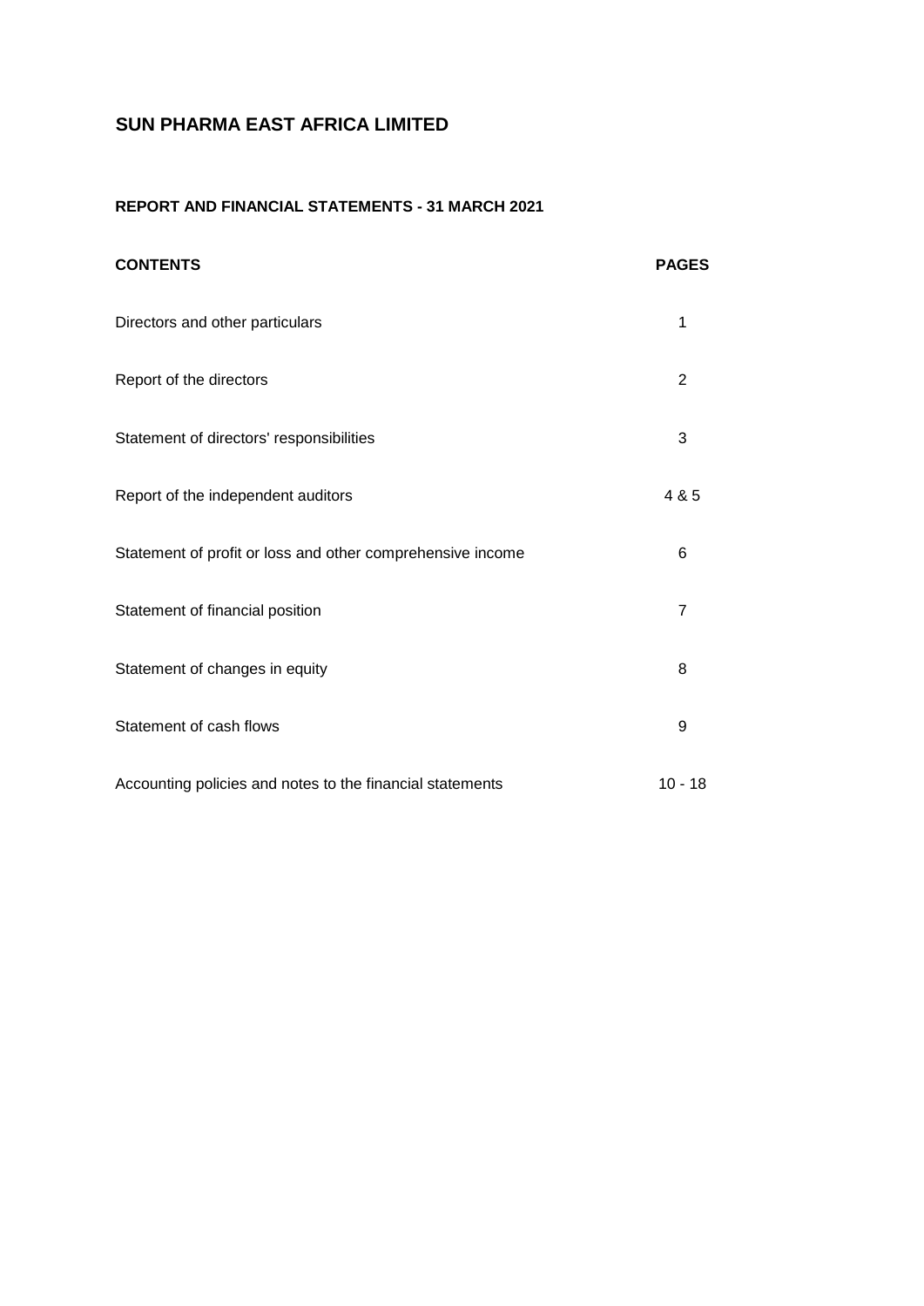## **REPORT AND FINANCIAL STATEMENTS - 31 MARCH 2021**

| <b>CONTENTS</b>                                            | <b>PAGES</b> |
|------------------------------------------------------------|--------------|
| Directors and other particulars                            | 1            |
| Report of the directors                                    | 2            |
| Statement of directors' responsibilities                   | 3            |
| Report of the independent auditors                         | 4 & 5        |
| Statement of profit or loss and other comprehensive income | 6            |
| Statement of financial position                            | 7            |
| Statement of changes in equity                             | 8            |
| Statement of cash flows                                    | 9            |
| Accounting policies and notes to the financial statements  | $10 - 18$    |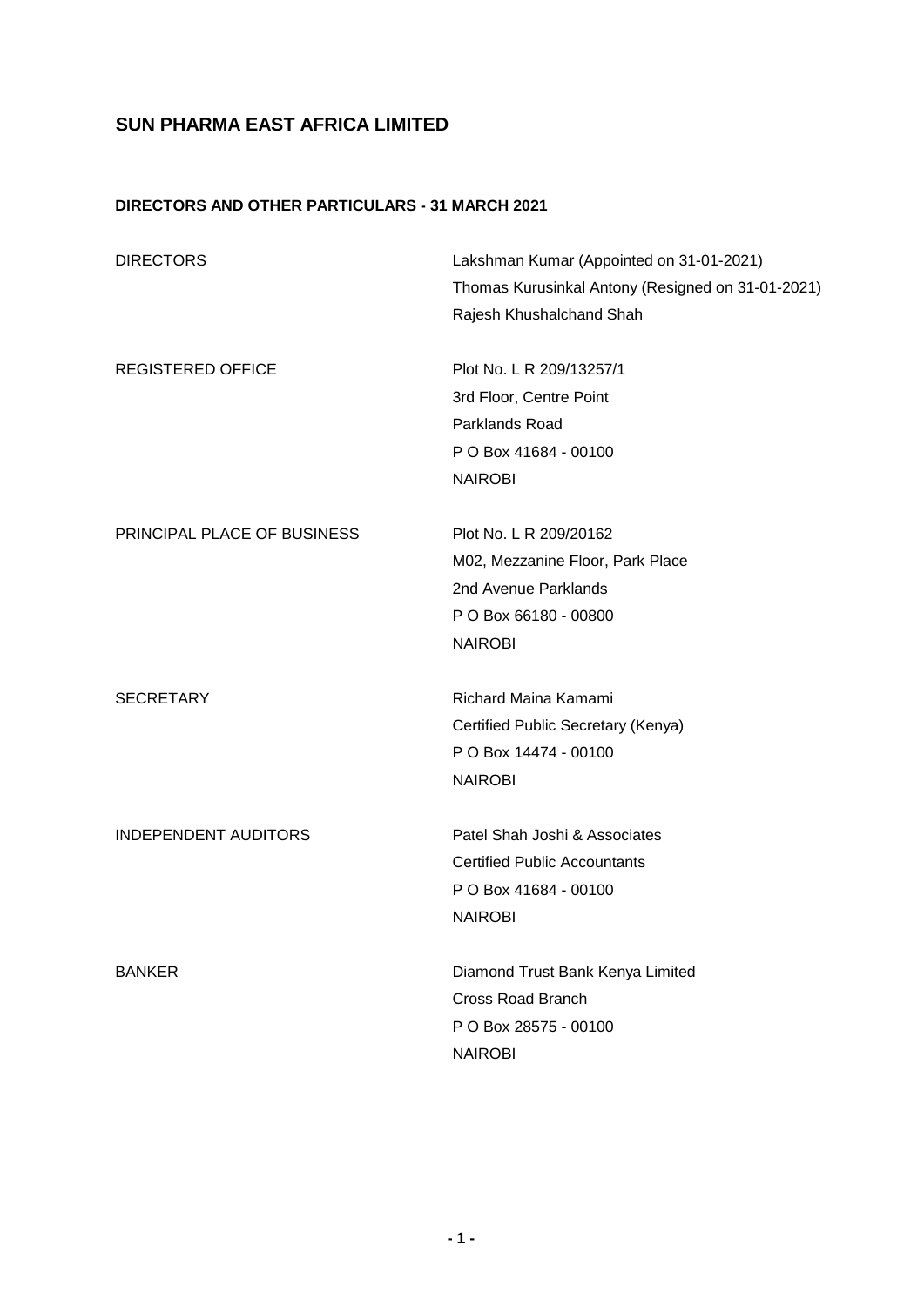## **DIRECTORS AND OTHER PARTICULARS - 31 MARCH 2021**

| <b>DIRECTORS</b>            | Lakshman Kumar (Appointed on 31-01-2021)<br>Thomas Kurusinkal Antony (Resigned on 31-01-2021)<br>Rajesh Khushalchand Shah     |
|-----------------------------|-------------------------------------------------------------------------------------------------------------------------------|
| <b>REGISTERED OFFICE</b>    | Plot No. L R 209/13257/1<br>3rd Floor, Centre Point<br>Parklands Road<br>P O Box 41684 - 00100<br><b>NAIROBI</b>              |
| PRINCIPAL PLACE OF BUSINESS | Plot No. L R 209/20162<br>M02, Mezzanine Floor, Park Place<br>2nd Avenue Parklands<br>P O Box 66180 - 00800<br><b>NAIROBI</b> |
| <b>SECRETARY</b>            | Richard Maina Kamami<br>Certified Public Secretary (Kenya)<br>P O Box 14474 - 00100<br><b>NAIROBI</b>                         |
| <b>INDEPENDENT AUDITORS</b> | Patel Shah Joshi & Associates<br><b>Certified Public Accountants</b><br>P O Box 41684 - 00100<br><b>NAIROBI</b>               |
| <b>BANKER</b>               | Diamond Trust Bank Kenya Limited<br><b>Cross Road Branch</b><br>P O Box 28575 - 00100<br><b>NAIROBI</b>                       |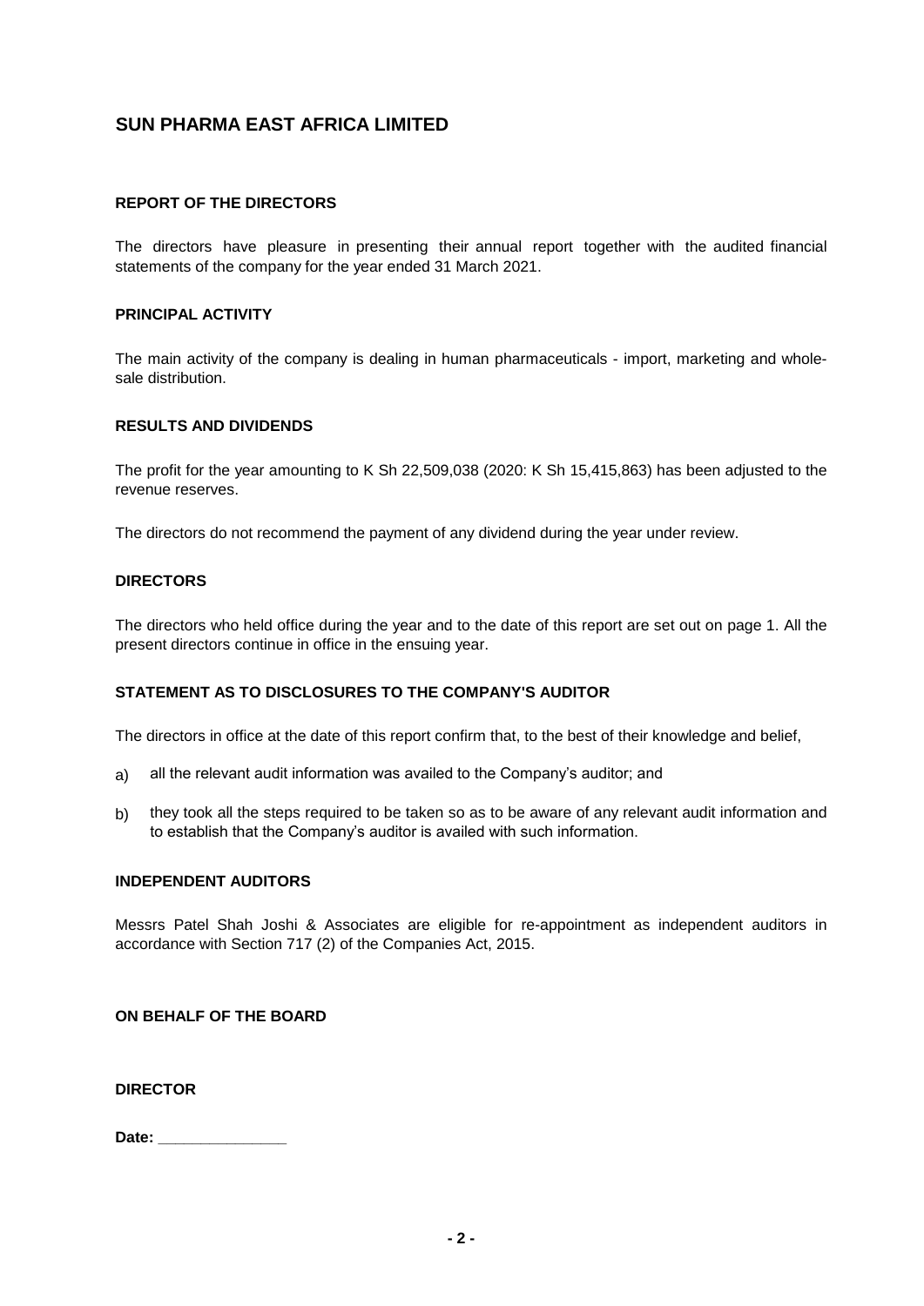### **REPORT OF THE DIRECTORS**

The directors have pleasure in presenting their annual report together with the audited financial statements of the company for the year ended 31 March 2021.

#### **PRINCIPAL ACTIVITY**

The main activity of the company is dealing in human pharmaceuticals - import, marketing and wholesale distribution.

### **RESULTS AND DIVIDENDS**

The profit for the year amounting to K Sh 22,509,038 (2020: K Sh 15,415,863) has been adjusted to the revenue reserves.

The directors do not recommend the payment of any dividend during the year under review.

### **DIRECTORS**

The directors who held office during the year and to the date of this report are set out on page 1. All the present directors continue in office in the ensuing year.

### **STATEMENT AS TO DISCLOSURES TO THE COMPANY'S AUDITOR**

The directors in office at the date of this report confirm that, to the best of their knowledge and belief,

- a) all the relevant audit information was availed to the Company's auditor; and
- b) they took all the steps required to be taken so as to be aware of any relevant audit information and to establish that the Company's auditor is availed with such information.

#### **INDEPENDENT AUDITORS**

Messrs Patel Shah Joshi & Associates are eligible for re-appointment as independent auditors in accordance with Section 717 (2) of the Companies Act, 2015.

**ON BEHALF OF THE BOARD**

**DIRECTOR**

| Date: |  |  |
|-------|--|--|
|-------|--|--|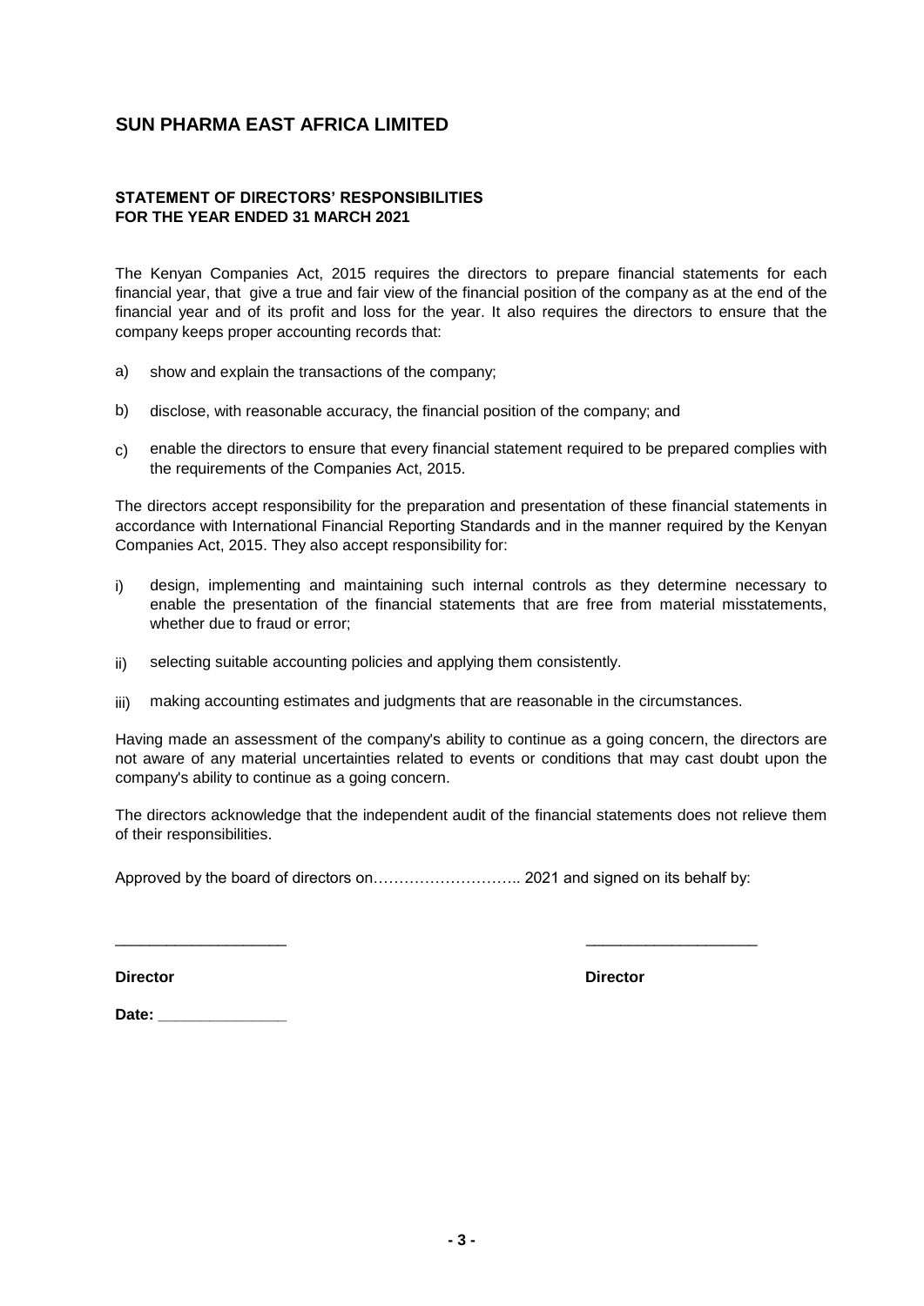## **STATEMENT OF DIRECTORS' RESPONSIBILITIES FOR THE YEAR ENDED 31 MARCH 2021**

The Kenyan Companies Act, 2015 requires the directors to prepare financial statements for each financial year, that give a true and fair view of the financial position of the company as at the end of the financial year and of its profit and loss for the year. It also requires the directors to ensure that the company keeps proper accounting records that:

- a) show and explain the transactions of the company;
- b) disclose, with reasonable accuracy, the financial position of the company; and
- c) enable the directors to ensure that every financial statement required to be prepared complies with the requirements of the Companies Act, 2015.

The directors accept responsibility for the preparation and presentation of these financial statements in accordance with International Financial Reporting Standards and in the manner required by the Kenyan Companies Act, 2015. They also accept responsibility for:

- i) design, implementing and maintaining such internal controls as they determine necessary to enable the presentation of the financial statements that are free from material misstatements, whether due to fraud or error;
- ii) selecting suitable accounting policies and applying them consistently.
- iii) making accounting estimates and judgments that are reasonable in the circumstances.

Having made an assessment of the company's ability to continue as a going concern, the directors are not aware of any material uncertainties related to events or conditions that may cast doubt upon the company's ability to continue as a going concern.

The directors acknowledge that the independent audit of the financial statements does not relieve them of their responsibilities.

Approved by the board of directors on……………………….. 2021 and signed on its behalf by:

 $\frac{1}{2}$  ,  $\frac{1}{2}$  ,  $\frac{1}{2}$  ,  $\frac{1}{2}$  ,  $\frac{1}{2}$  ,  $\frac{1}{2}$  ,  $\frac{1}{2}$  ,  $\frac{1}{2}$  ,  $\frac{1}{2}$  ,  $\frac{1}{2}$  ,  $\frac{1}{2}$  ,  $\frac{1}{2}$  ,  $\frac{1}{2}$  ,  $\frac{1}{2}$  ,  $\frac{1}{2}$  ,  $\frac{1}{2}$  ,  $\frac{1}{2}$  ,  $\frac{1}{2}$  ,  $\frac{1$ 

**Director Director**

**Date: \_\_\_\_\_\_\_\_\_\_\_\_\_\_\_**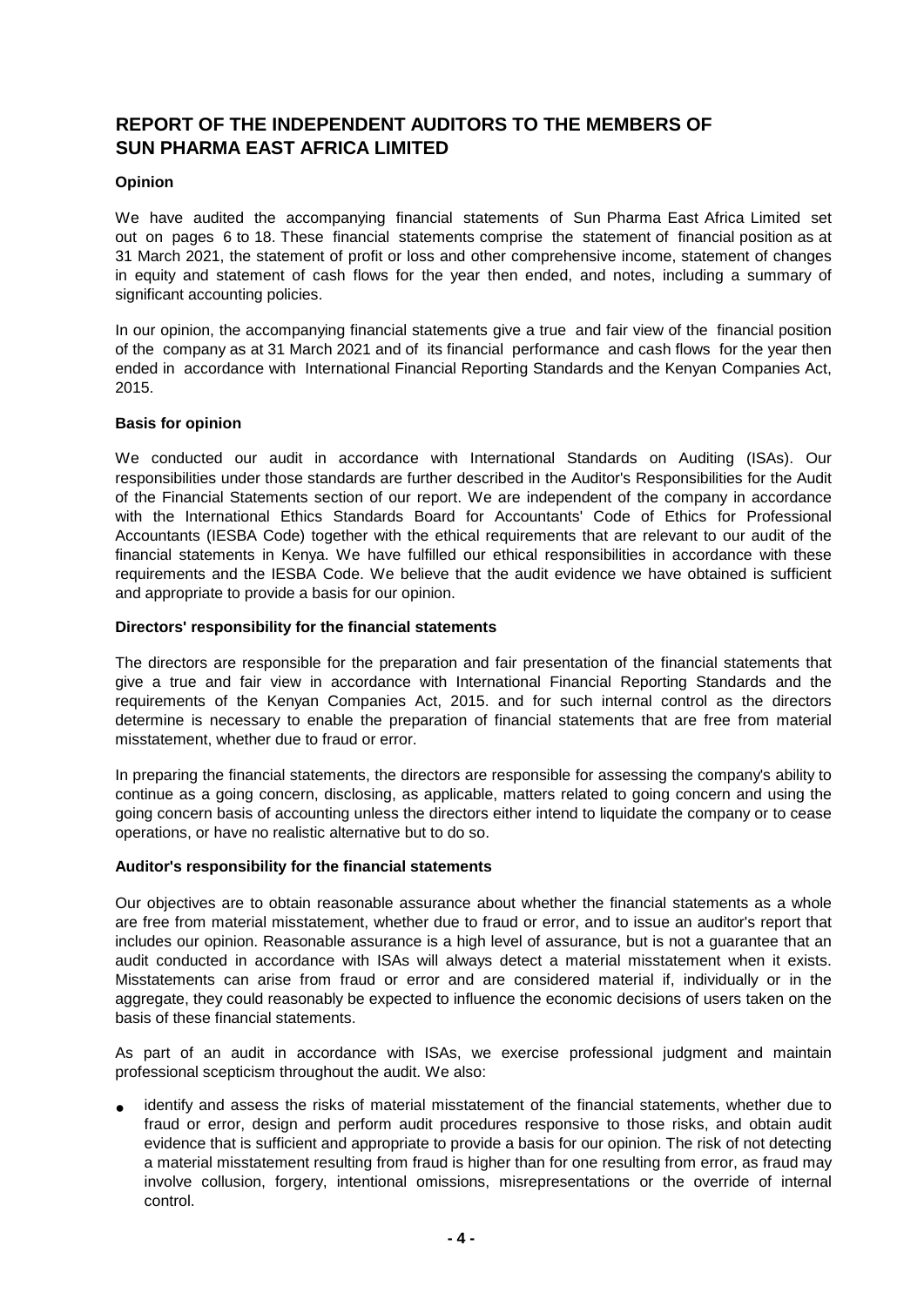## **REPORT OF THE INDEPENDENT AUDITORS TO THE MEMBERS OF SUN PHARMA EAST AFRICA LIMITED**

### **Opinion**

We have audited the accompanying financial statements of Sun Pharma East Africa Limited set out on pages 6 to 18. These financial statements comprise the statement of financial position as at 31 March 2021, the statement of profit or loss and other comprehensive income, statement of changes in equity and statement of cash flows for the year then ended, and notes, including a summary of significant accounting policies.

In our opinion, the accompanying financial statements give a true and fair view of the financial position of the company as at 31 March 2021 and of its financial performance and cash flows for the year then ended in accordance with International Financial Reporting Standards and the Kenyan Companies Act, 2015.

#### **Basis for opinion**

We conducted our audit in accordance with International Standards on Auditing (ISAs). Our responsibilities under those standards are further described in the Auditor's Responsibilities for the Audit of the Financial Statements section of our report. We are independent of the company in accordance with the International Ethics Standards Board for Accountants' Code of Ethics for Professional Accountants (IESBA Code) together with the ethical requirements that are relevant to our audit of the financial statements in Kenya. We have fulfilled our ethical responsibilities in accordance with these requirements and the IESBA Code. We believe that the audit evidence we have obtained is sufficient and appropriate to provide a basis for our opinion.

#### **Directors' responsibility for the financial statements**

The directors are responsible for the preparation and fair presentation of the financial statements that give a true and fair view in accordance with International Financial Reporting Standards and the requirements of the Kenyan Companies Act, 2015. and for such internal control as the directors determine is necessary to enable the preparation of financial statements that are free from material misstatement, whether due to fraud or error.

In preparing the financial statements, the directors are responsible for assessing the company's ability to continue as a going concern, disclosing, as applicable, matters related to going concern and using the going concern basis of accounting unless the directors either intend to liquidate the company or to cease operations, or have no realistic alternative but to do so.

### **Auditor's responsibility for the financial statements**

Our objectives are to obtain reasonable assurance about whether the financial statements as a whole are free from material misstatement, whether due to fraud or error, and to issue an auditor's report that includes our opinion. Reasonable assurance is a high level of assurance, but is not a guarantee that an audit conducted in accordance with ISAs will always detect a material misstatement when it exists. Misstatements can arise from fraud or error and are considered material if, individually or in the aggregate, they could reasonably be expected to influence the economic decisions of users taken on the basis of these financial statements.

As part of an audit in accordance with ISAs, we exercise professional judgment and maintain professional scepticism throughout the audit. We also:

**●** identify and assess the risks of material misstatement of the financial statements, whether due to fraud or error, design and perform audit procedures responsive to those risks, and obtain audit evidence that is sufficient and appropriate to provide a basis for our opinion. The risk of not detecting a material misstatement resulting from fraud is higher than for one resulting from error, as fraud may involve collusion, forgery, intentional omissions, misrepresentations or the override of internal control.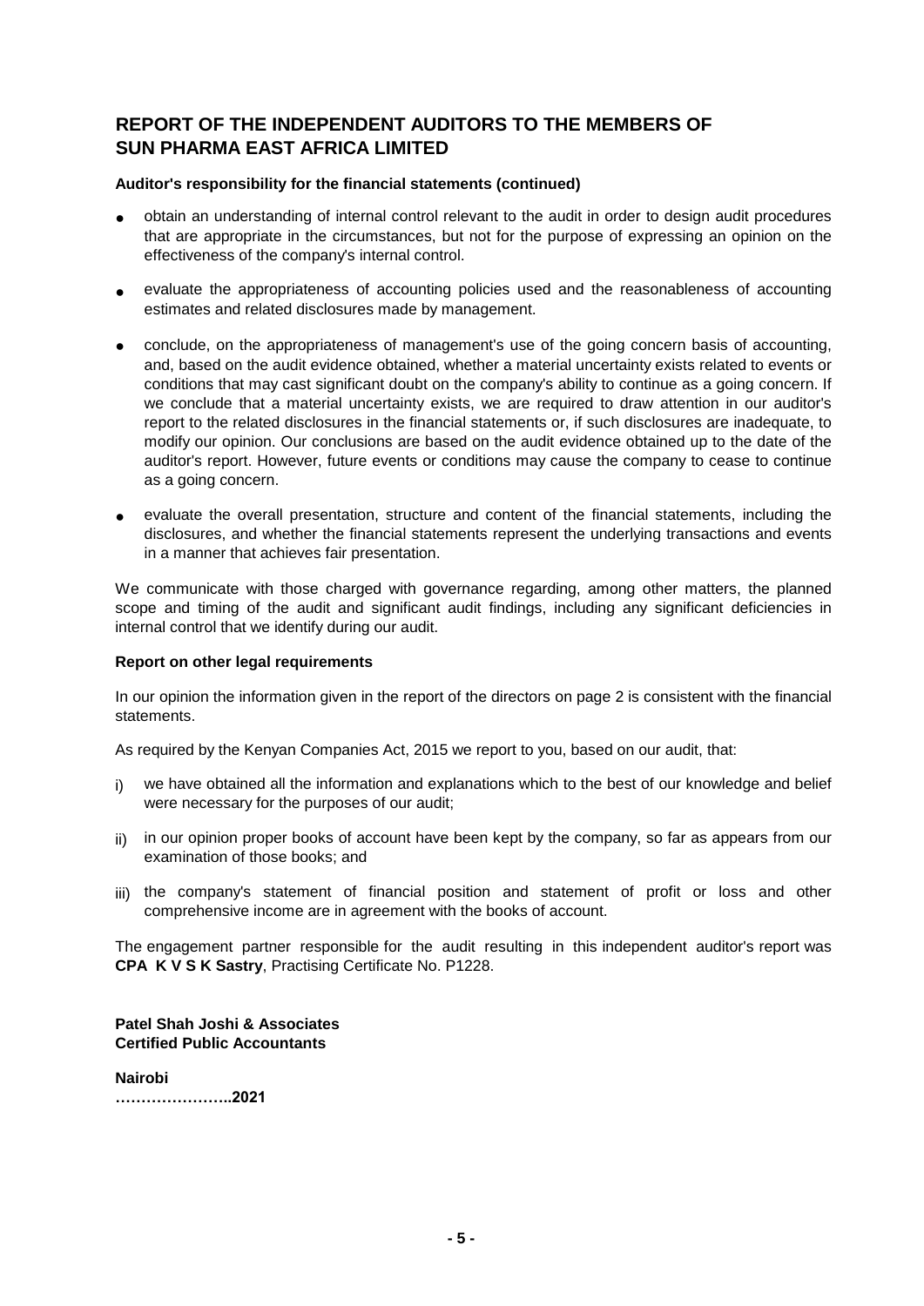## **REPORT OF THE INDEPENDENT AUDITORS TO THE MEMBERS OF SUN PHARMA EAST AFRICA LIMITED**

#### **Auditor's responsibility for the financial statements (continued)**

- **●** obtain an understanding of internal control relevant to the audit in order to design audit procedures that are appropriate in the circumstances, but not for the purpose of expressing an opinion on the effectiveness of the company's internal control.
- **●** evaluate the appropriateness of accounting policies used and the reasonableness of accounting estimates and related disclosures made by management.
- **●** conclude, on the appropriateness of management's use of the going concern basis of accounting, and, based on the audit evidence obtained, whether a material uncertainty exists related to events or conditions that may cast significant doubt on the company's ability to continue as a going concern. If we conclude that a material uncertainty exists, we are required to draw attention in our auditor's report to the related disclosures in the financial statements or, if such disclosures are inadequate, to modify our opinion. Our conclusions are based on the audit evidence obtained up to the date of the auditor's report. However, future events or conditions may cause the company to cease to continue as a going concern.
- **●** evaluate the overall presentation, structure and content of the financial statements, including the disclosures, and whether the financial statements represent the underlying transactions and events in a manner that achieves fair presentation.

We communicate with those charged with governance regarding, among other matters, the planned scope and timing of the audit and significant audit findings, including any significant deficiencies in internal control that we identify during our audit.

#### **Report on other legal requirements**

In our opinion the information given in the report of the directors on page 2 is consistent with the financial statements.

As required by the Kenyan Companies Act, 2015 we report to you, based on our audit, that:

- i) we have obtained all the information and explanations which to the best of our knowledge and belief were necessary for the purposes of our audit;
- ii) in our opinion proper books of account have been kept by the company, so far as appears from our examination of those books; and
- iii) the company's statement of financial position and statement of profit or loss and other comprehensive income are in agreement with the books of account.

The engagement partner responsible for the audit resulting in this independent auditor's report was **CPA K V S K Sastry**, Practising Certificate No. P1228.

**Patel Shah Joshi & Associates Certified Public Accountants** 

**Nairobi …………………..2021**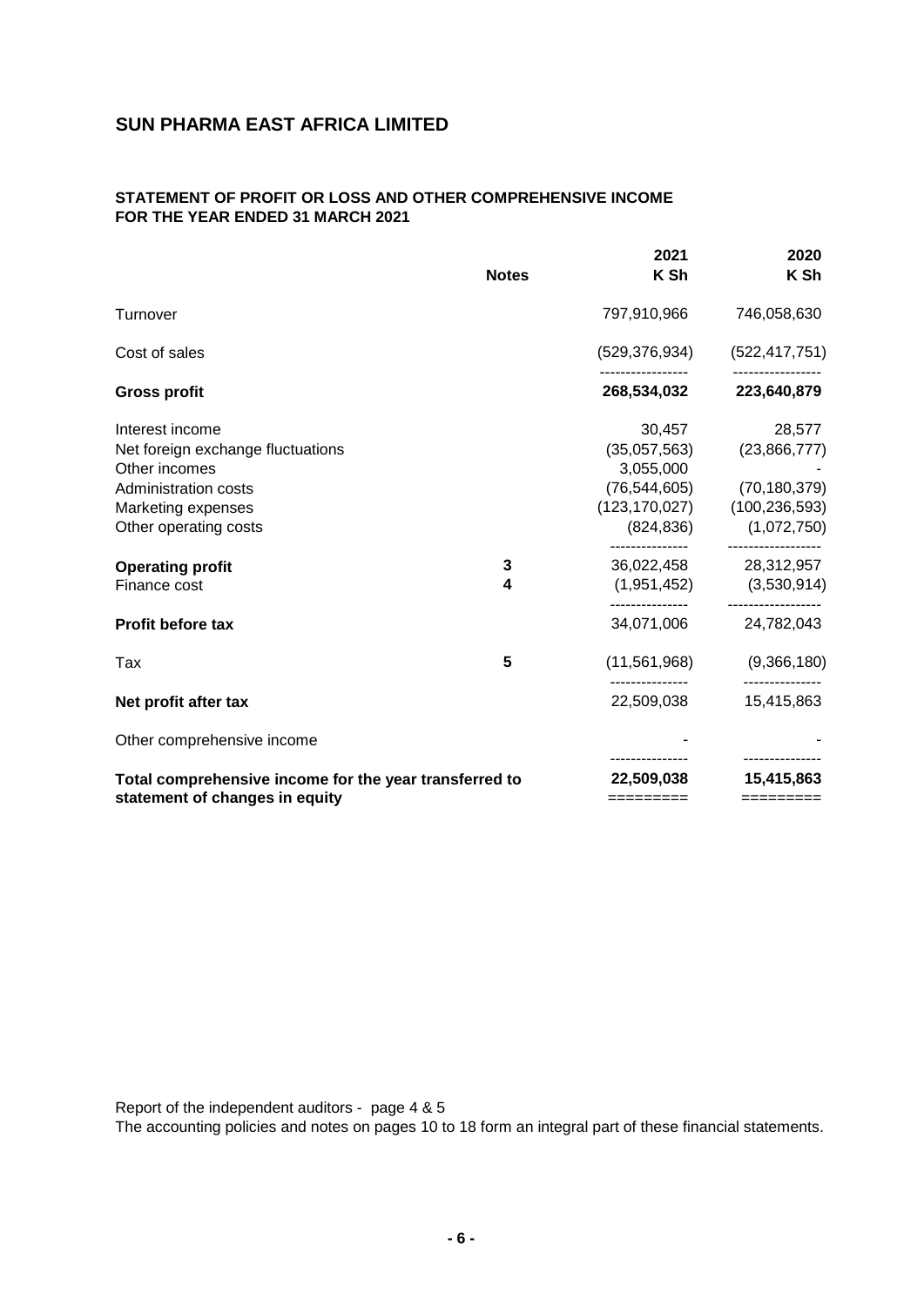## **STATEMENT OF PROFIT OR LOSS AND OTHER COMPREHENSIVE INCOME FOR THE YEAR ENDED 31 MARCH 2021**

|                                                                                          | <b>Notes</b>     | 2021<br>K Sh            | 2020<br>K Sh                                |
|------------------------------------------------------------------------------------------|------------------|-------------------------|---------------------------------------------|
| Turnover                                                                                 |                  | 797,910,966             | 746,058,630                                 |
| Cost of sales                                                                            |                  | (529,376,934)           | (522, 417, 751)                             |
| <b>Gross profit</b>                                                                      |                  | 268,534,032             | 223,640,879                                 |
| Interest income                                                                          |                  | 30,457                  | 28,577                                      |
| Net foreign exchange fluctuations                                                        |                  | (35,057,563)            | (23,866,777)                                |
| Other incomes                                                                            |                  | 3,055,000               |                                             |
| Administration costs                                                                     |                  | (76, 544, 605)          | (70, 180, 379)                              |
| Marketing expenses                                                                       |                  |                         | $(123, 170, 027)$ $(100, 236, 593)$         |
| Other operating costs                                                                    |                  |                         | $(824, 836)$ $(1, 072, 750)$                |
| <b>Operating profit</b>                                                                  | 3                | 36,022,458              | 28,312,957                                  |
| Finance cost                                                                             | $\boldsymbol{4}$ |                         | $(1,951,452)$ $(3,530,914)$                 |
| <b>Profit before tax</b>                                                                 |                  | 34,071,006              | 24,782,043                                  |
| Tax                                                                                      | 5                |                         | $(11,561,968)$ $(9,366,180)$                |
| Net profit after tax                                                                     |                  | 22,509,038              | 15,415,863                                  |
| Other comprehensive income                                                               |                  |                         |                                             |
| Total comprehensive income for the year transferred to<br>statement of changes in equity |                  | 22,509,038<br>========= | -------------<br>15,415,863<br>$=$ ======== |

Report of the independent auditors - page 4 & 5

The accounting policies and notes on pages 10 to 18 form an integral part of these financial statements.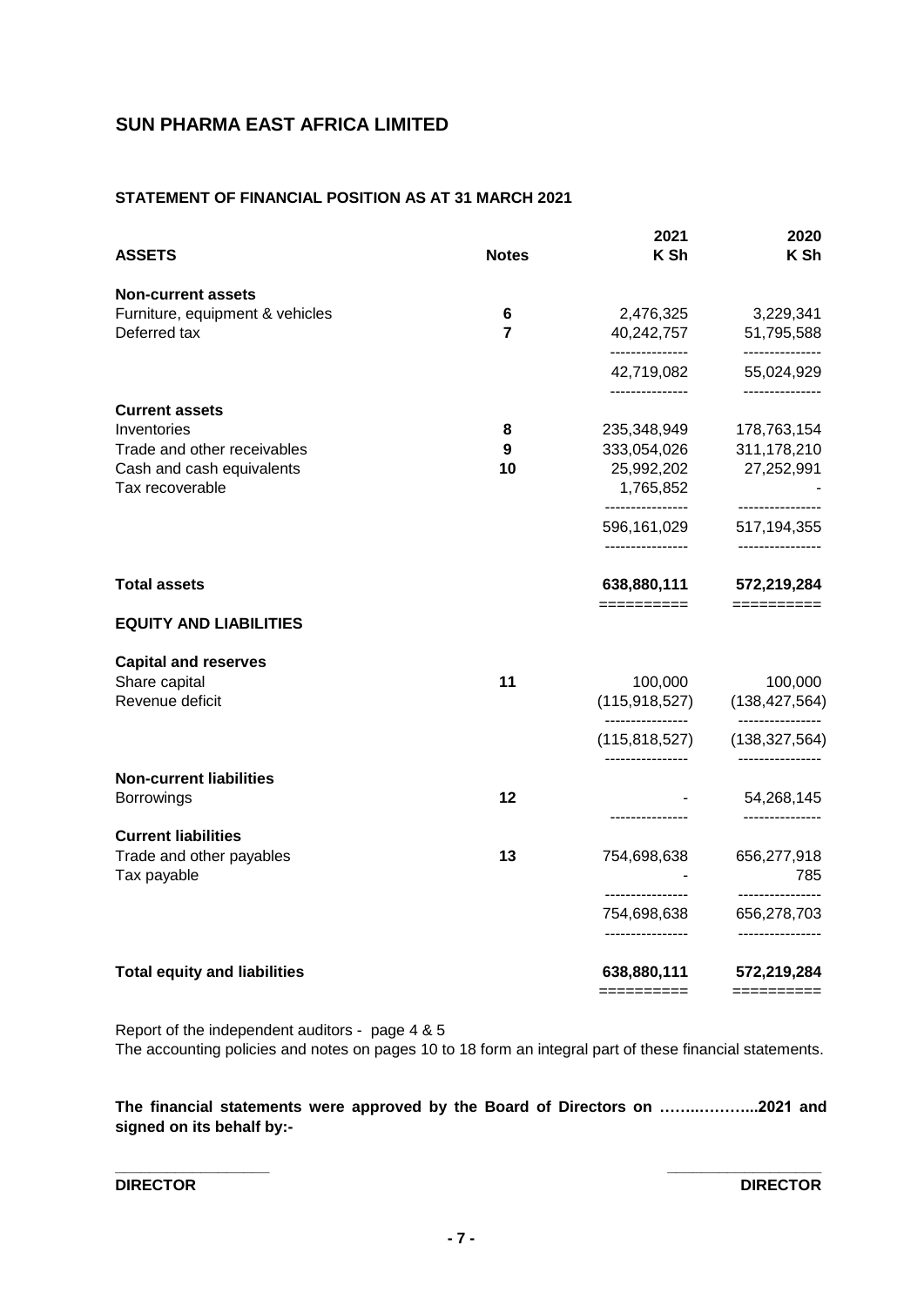## **STATEMENT OF FINANCIAL POSITION AS AT 31 MARCH 2021**

| <b>ASSETS</b>                                   | <b>Notes</b>        | 2021<br>K Sh                                        | 2020<br>K Sh                                          |
|-------------------------------------------------|---------------------|-----------------------------------------------------|-------------------------------------------------------|
| <b>Non-current assets</b>                       |                     |                                                     |                                                       |
| Furniture, equipment & vehicles<br>Deferred tax | 6<br>$\overline{7}$ | 2,476,325<br>40,242,757<br>---------------          | 3,229,341<br>51,795,588<br>---------------            |
|                                                 |                     | 42,719,082<br>---------------                       | 55,024,929<br>---------------                         |
| <b>Current assets</b>                           |                     |                                                     |                                                       |
| Inventories                                     | 8                   | 235,348,949                                         | 178,763,154                                           |
| Trade and other receivables                     | 9                   | 333,054,026                                         | 311,178,210                                           |
| Cash and cash equivalents<br>Tax recoverable    | 10                  | 25,992,202<br>1,765,852                             | 27,252,991                                            |
|                                                 |                     | ----------------<br>596,161,029<br>---------------- | ----------------<br>517, 194, 355<br>---------------- |
| <b>Total assets</b>                             |                     | 638,880,111                                         | 572,219,284                                           |
| <b>EQUITY AND LIABILITIES</b>                   |                     | ==========                                          | $=$ ==========                                        |
| <b>Capital and reserves</b>                     |                     |                                                     |                                                       |
| Share capital                                   | 11                  | 100,000                                             | 100,000                                               |
| Revenue deficit                                 |                     | ----------------                                    | $(115,918,527)$ $(138,427,564)$<br>-----------------  |
|                                                 |                     | (115,818,527)<br>----------------                   | (138, 327, 564)<br>----------------                   |
| <b>Non-current liabilities</b>                  |                     |                                                     |                                                       |
| <b>Borrowings</b>                               | 12                  |                                                     | 54,268,145                                            |
| <b>Current liabilities</b>                      |                     | ---------------                                     | ---------------                                       |
| Trade and other payables                        | 13                  | 754,698,638                                         | 656,277,918                                           |
| Tax payable                                     |                     | ----------------                                    | 785<br>----------------                               |
|                                                 |                     | 754,698,638                                         | 656,278,703                                           |
|                                                 |                     | ----------------                                    | ----------------                                      |
| <b>Total equity and liabilities</b>             |                     | 638,880,111<br>==========                           | 572,219,284<br>$=$ ==========                         |
|                                                 |                     |                                                     |                                                       |

Report of the independent auditors - page 4 & 5 The accounting policies and notes on pages 10 to 18 form an integral part of these financial statements.

**The financial statements were approved by the Board of Directors on ……..………...2021 and signed on its behalf by:-**

**\_\_\_\_\_\_\_\_\_\_\_\_\_\_\_\_\_\_ \_\_\_\_\_\_\_\_\_\_\_\_\_\_\_\_\_\_**

| <b>DIRECTOR</b> | <b>DIRECTOR</b> |
|-----------------|-----------------|
|                 |                 |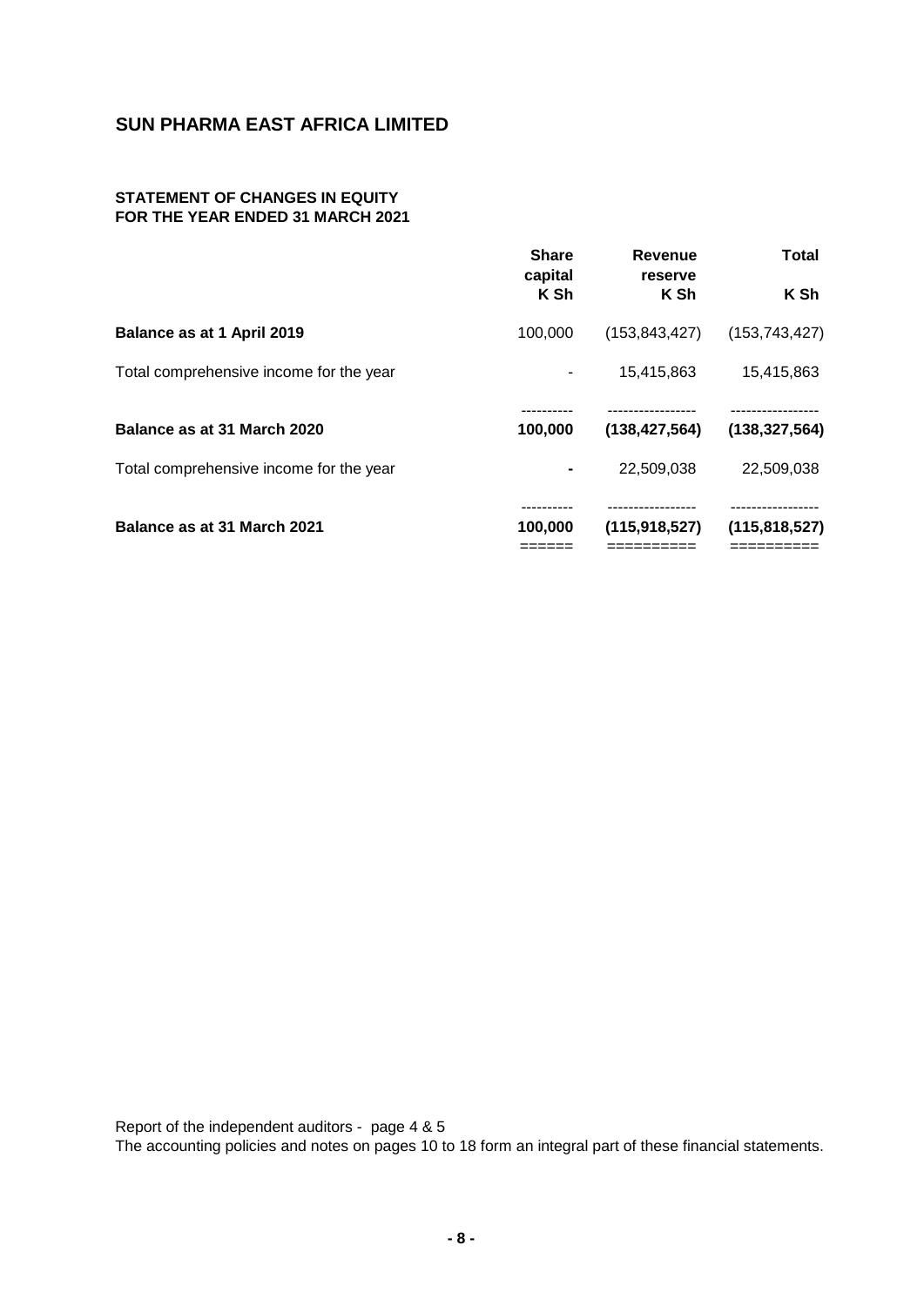## **STATEMENT OF CHANGES IN EQUITY FOR THE YEAR ENDED 31 MARCH 2021**

|                                         | <b>Share</b><br>capital<br>K Sh | Revenue<br>reserve<br>K Sh | Total<br>K Sh   |
|-----------------------------------------|---------------------------------|----------------------------|-----------------|
| Balance as at 1 April 2019              | 100,000                         | (153, 843, 427)            | (153, 743, 427) |
| Total comprehensive income for the year |                                 | 15,415,863                 | 15,415,863      |
| Balance as at 31 March 2020             | 100,000                         | (138, 427, 564)            | (138, 327, 564) |
| Total comprehensive income for the year |                                 | 22,509,038                 | 22,509,038      |
| Balance as at 31 March 2021             | 100,000                         | (115, 918, 527)            | (115, 818, 527) |

Report of the independent auditors - page 4 & 5 The accounting policies and notes on pages 10 to 18 form an integral part of these financial statements.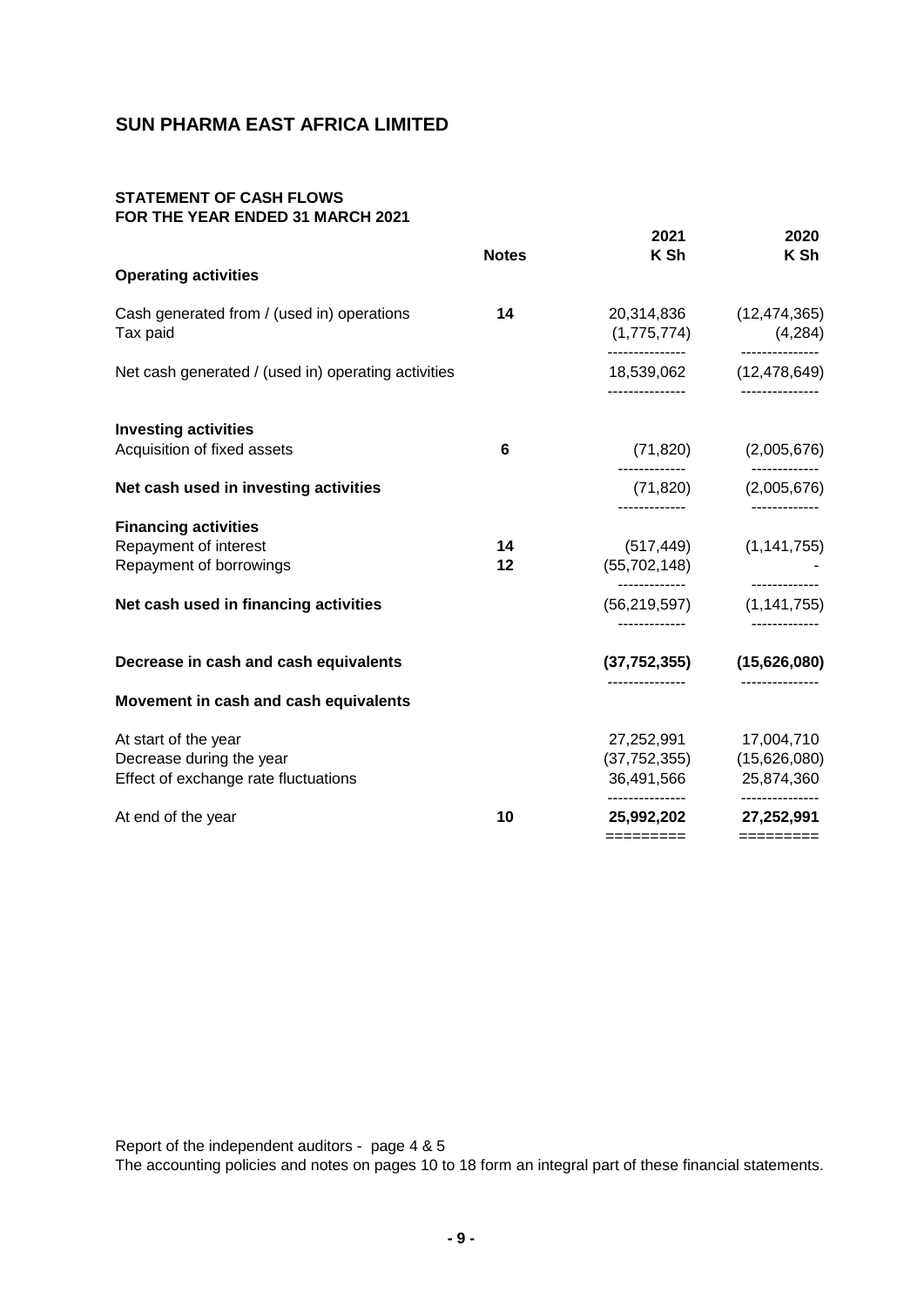### **STATEMENT OF CASH FLOWS FOR THE YEAR ENDED 31 MARCH 2021**

|                                                        | <b>Notes</b> | 2021<br>K Sh                                 | 2020<br>K Sh                                 |
|--------------------------------------------------------|--------------|----------------------------------------------|----------------------------------------------|
| <b>Operating activities</b>                            |              |                                              |                                              |
| Cash generated from / (used in) operations<br>Tax paid | 14           | 20,314,836<br>(1,775,774)<br>--------------- | (12, 474, 365)<br>(4,284)<br>--------------- |
| Net cash generated / (used in) operating activities    |              | 18,539,062<br>---------------                | (12, 478, 649)<br>---------------            |
| <b>Investing activities</b>                            |              |                                              |                                              |
| Acquisition of fixed assets                            | 6            | (71, 820)<br>-------------                   | (2,005,676)<br>--------------                |
| Net cash used in investing activities                  |              | (71, 820)                                    | (2,005,676)<br>-------------                 |
| <b>Financing activities</b>                            |              |                                              |                                              |
| Repayment of interest<br>Repayment of borrowings       | 14<br>12     | (517,449)<br>(55, 702, 148)                  | (1, 141, 755)<br>-------------               |
| Net cash used in financing activities                  |              | -------------<br>(56, 219, 597)              | (1, 141, 755)                                |
| Decrease in cash and cash equivalents                  |              | (37, 752, 355)<br>---------------            | (15,626,080)<br>---------------              |
| Movement in cash and cash equivalents                  |              |                                              |                                              |
| At start of the year                                   |              | 27,252,991                                   | 17,004,710                                   |
| Decrease during the year                               |              | (37, 752, 355)                               | (15,626,080)                                 |
| Effect of exchange rate fluctuations                   |              | 36,491,566<br>---------------                | 25,874,360<br>---------------                |
| At end of the year                                     | 10           | 25,992,202                                   | 27,252,991                                   |
|                                                        |              |                                              |                                              |

Report of the independent auditors - page 4 & 5

The accounting policies and notes on pages 10 to 18 form an integral part of these financial statements.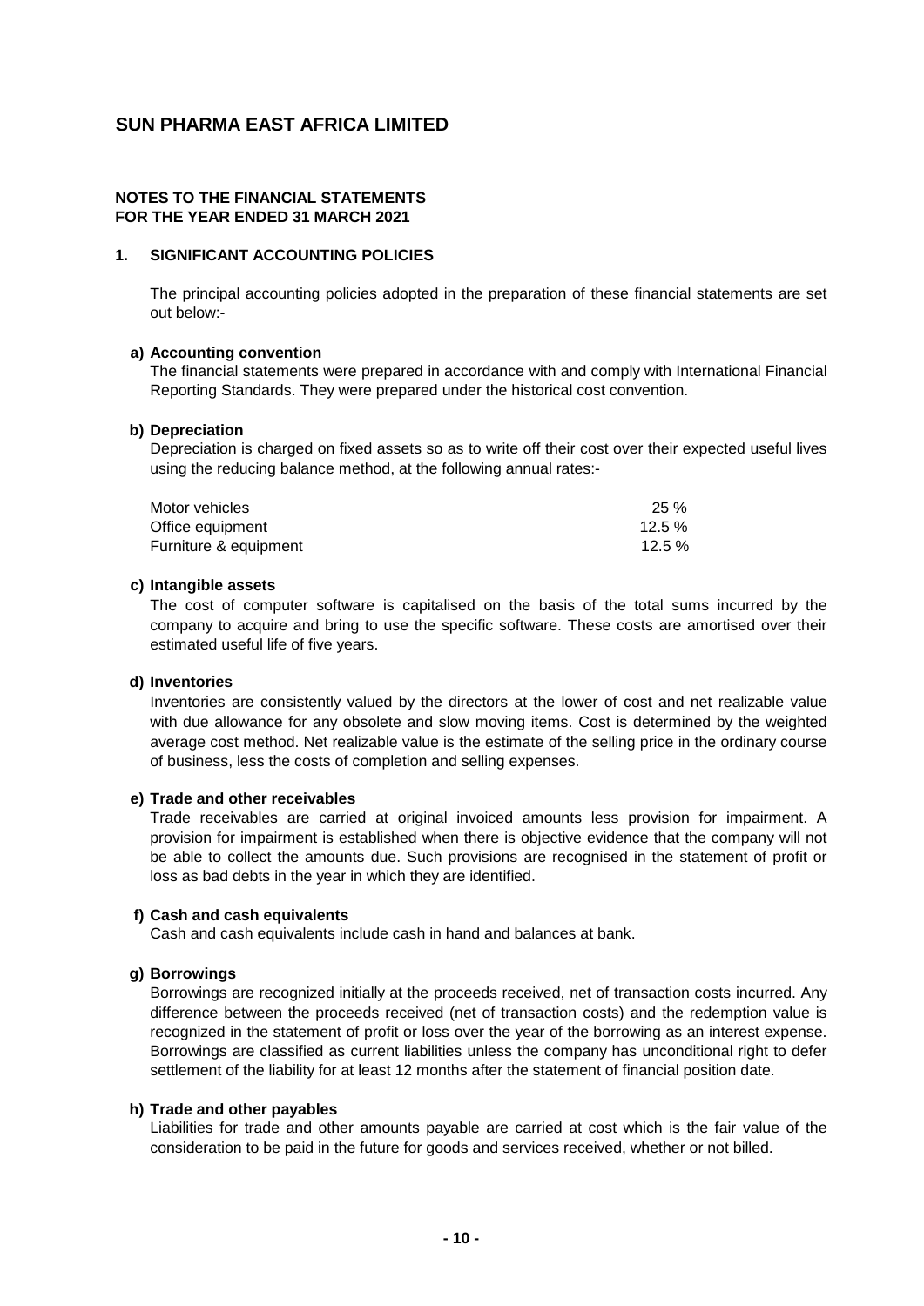### **NOTES TO THE FINANCIAL STATEMENTS FOR THE YEAR ENDED 31 MARCH 2021**

### **1. SIGNIFICANT ACCOUNTING POLICIES**

The principal accounting policies adopted in the preparation of these financial statements are set out below:-

#### **a) Accounting convention**

The financial statements were prepared in accordance with and comply with International Financial Reporting Standards. They were prepared under the historical cost convention.

#### **b) Depreciation**

Depreciation is charged on fixed assets so as to write off their cost over their expected useful lives using the reducing balance method, at the following annual rates:-

| Motor vehicles        | 25%   |
|-----------------------|-------|
| Office equipment      | 12.5% |
| Furniture & equipment | 12.5% |

#### **c) Intangible assets**

The cost of computer software is capitalised on the basis of the total sums incurred by the company to acquire and bring to use the specific software. These costs are amortised over their estimated useful life of five years.

#### **d) Inventories**

Inventories are consistently valued by the directors at the lower of cost and net realizable value with due allowance for any obsolete and slow moving items. Cost is determined by the weighted average cost method. Net realizable value is the estimate of the selling price in the ordinary course of business, less the costs of completion and selling expenses.

#### **e) Trade and other receivables**

Trade receivables are carried at original invoiced amounts less provision for impairment. A provision for impairment is established when there is objective evidence that the company will not be able to collect the amounts due. Such provisions are recognised in the statement of profit or loss as bad debts in the year in which they are identified.

#### **f) Cash and cash equivalents**

Cash and cash equivalents include cash in hand and balances at bank.

#### **g) Borrowings**

Borrowings are recognized initially at the proceeds received, net of transaction costs incurred. Any difference between the proceeds received (net of transaction costs) and the redemption value is recognized in the statement of profit or loss over the year of the borrowing as an interest expense. Borrowings are classified as current liabilities unless the company has unconditional right to defer settlement of the liability for at least 12 months after the statement of financial position date.

#### **h) Trade and other payables**

Liabilities for trade and other amounts payable are carried at cost which is the fair value of the consideration to be paid in the future for goods and services received, whether or not billed.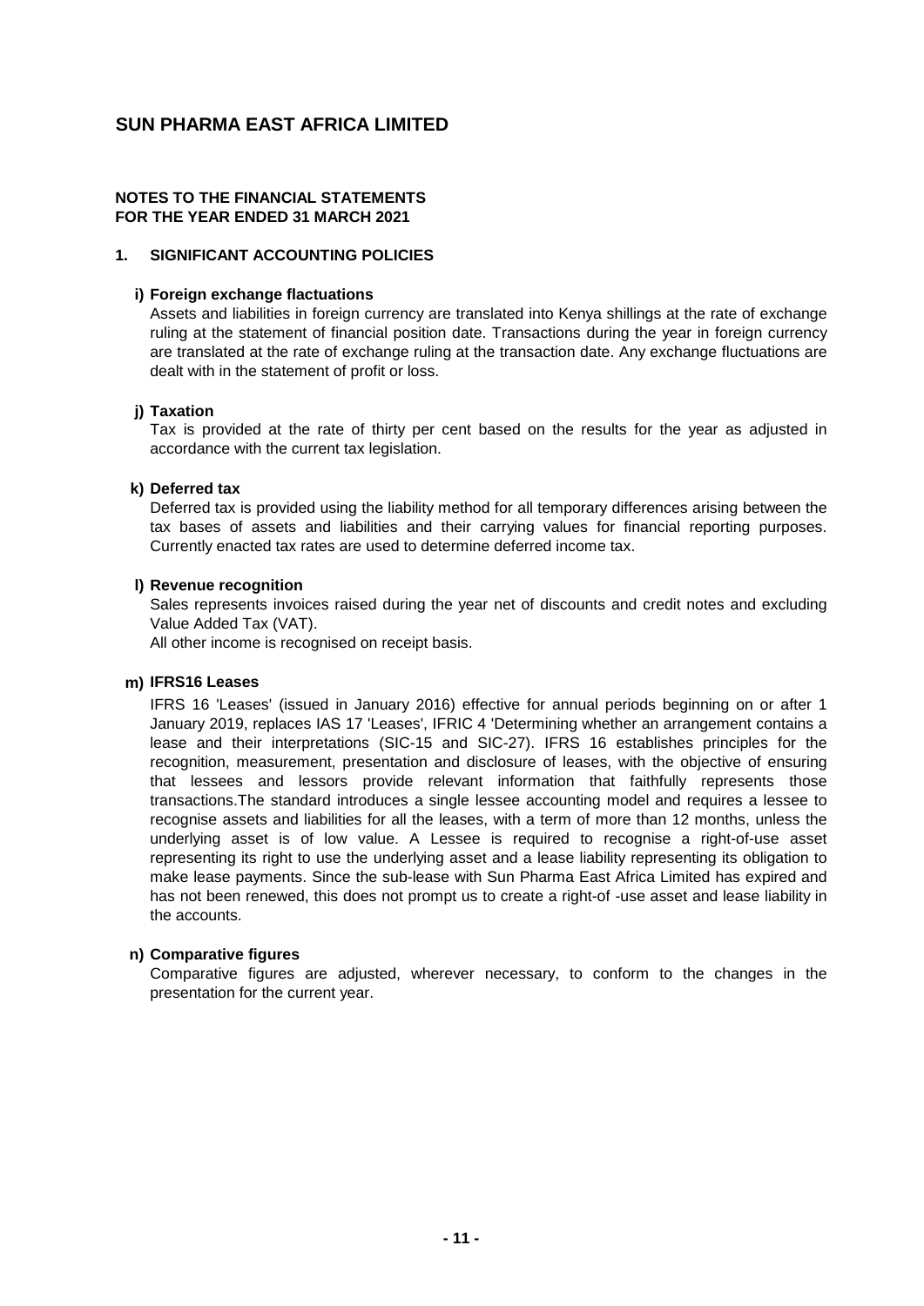### **NOTES TO THE FINANCIAL STATEMENTS FOR THE YEAR ENDED 31 MARCH 2021**

### **1. SIGNIFICANT ACCOUNTING POLICIES**

#### **i) Foreign exchange flactuations**

Assets and liabilities in foreign currency are translated into Kenya shillings at the rate of exchange ruling at the statement of financial position date. Transactions during the year in foreign currency are translated at the rate of exchange ruling at the transaction date. Any exchange fluctuations are dealt with in the statement of profit or loss.

#### **j) Taxation**

Tax is provided at the rate of thirty per cent based on the results for the year as adjusted in accordance with the current tax legislation.

#### **k) Deferred tax**

Deferred tax is provided using the liability method for all temporary differences arising between the tax bases of assets and liabilities and their carrying values for financial reporting purposes. Currently enacted tax rates are used to determine deferred income tax.

#### **l) Revenue recognition**

Sales represents invoices raised during the year net of discounts and credit notes and excluding Value Added Tax (VAT).

All other income is recognised on receipt basis.

#### **m) IFRS16 Leases**

IFRS 16 'Leases' (issued in January 2016) effective for annual periods beginning on or after 1 January 2019, replaces IAS 17 'Leases', IFRIC 4 'Determining whether an arrangement contains a lease and their interpretations (SIC-15 and SIC-27). IFRS 16 establishes principles for the recognition, measurement, presentation and disclosure of leases, with the objective of ensuring that lessees and lessors provide relevant information that faithfully represents those transactions.The standard introduces a single lessee accounting model and requires a lessee to recognise assets and liabilities for all the leases, with a term of more than 12 months, unless the underlying asset is of low value. A Lessee is required to recognise a right-of-use asset representing its right to use the underlying asset and a lease liability representing its obligation to make lease payments. Since the sub-lease with Sun Pharma East Africa Limited has expired and has not been renewed, this does not prompt us to create a right-of -use asset and lease liability in the accounts.

#### **n) Comparative figures**

Comparative figures are adjusted, wherever necessary, to conform to the changes in the presentation for the current year.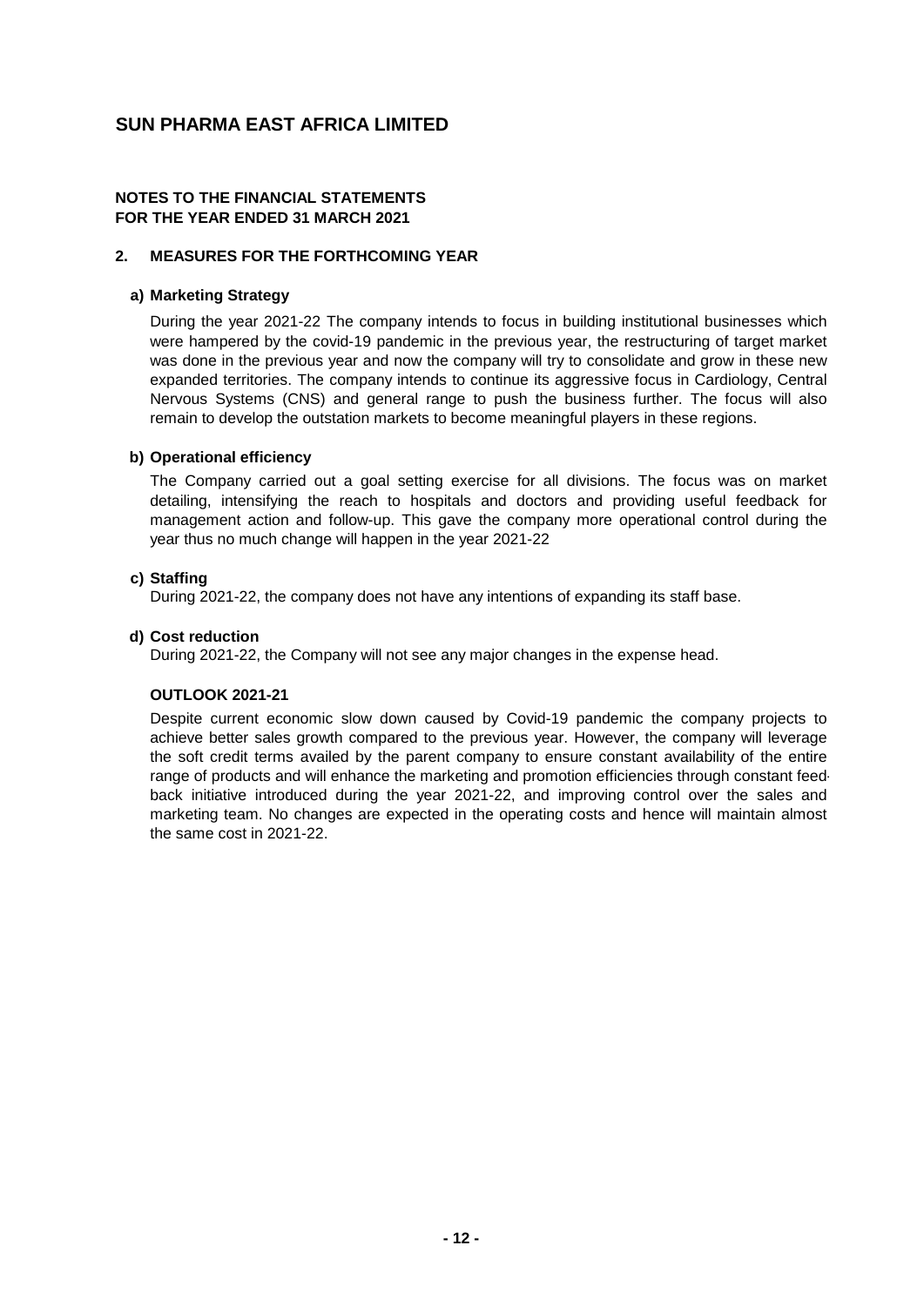### **NOTES TO THE FINANCIAL STATEMENTS FOR THE YEAR ENDED 31 MARCH 2021**

### **2. MEASURES FOR THE FORTHCOMING YEAR**

### **a) Marketing Strategy**

During the year 2021-22 The company intends to focus in building institutional businesses which were hampered by the covid-19 pandemic in the previous year, the restructuring of target market was done in the previous year and now the company will try to consolidate and grow in these new expanded territories. The company intends to continue its aggressive focus in Cardiology, Central Nervous Systems (CNS) and general range to push the business further. The focus will also remain to develop the outstation markets to become meaningful players in these regions.

### **b) Operational efficiency**

The Company carried out a goal setting exercise for all divisions. The focus was on market detailing, intensifying the reach to hospitals and doctors and providing useful feedback for management action and follow-up. This gave the company more operational control during the year thus no much change will happen in the year 2021-22

#### **c) Staffing**

During 2021-22, the company does not have any intentions of expanding its staff base.

#### **d) Cost reduction**

During 2021-22, the Company will not see any major changes in the expense head.

### **OUTLOOK 2021-21**

Despite current economic slow down caused by Covid-19 pandemic the company projects to achieve better sales growth compared to the previous year. However, the company will leverage the soft credit terms availed by the parent company to ensure constant availability of the entire range of products and will enhance the marketing and promotion efficiencies through constant feedback initiative introduced during the year 2021-22, and improving control over the sales and marketing team. No changes are expected in the operating costs and hence will maintain almost the same cost in 2021-22.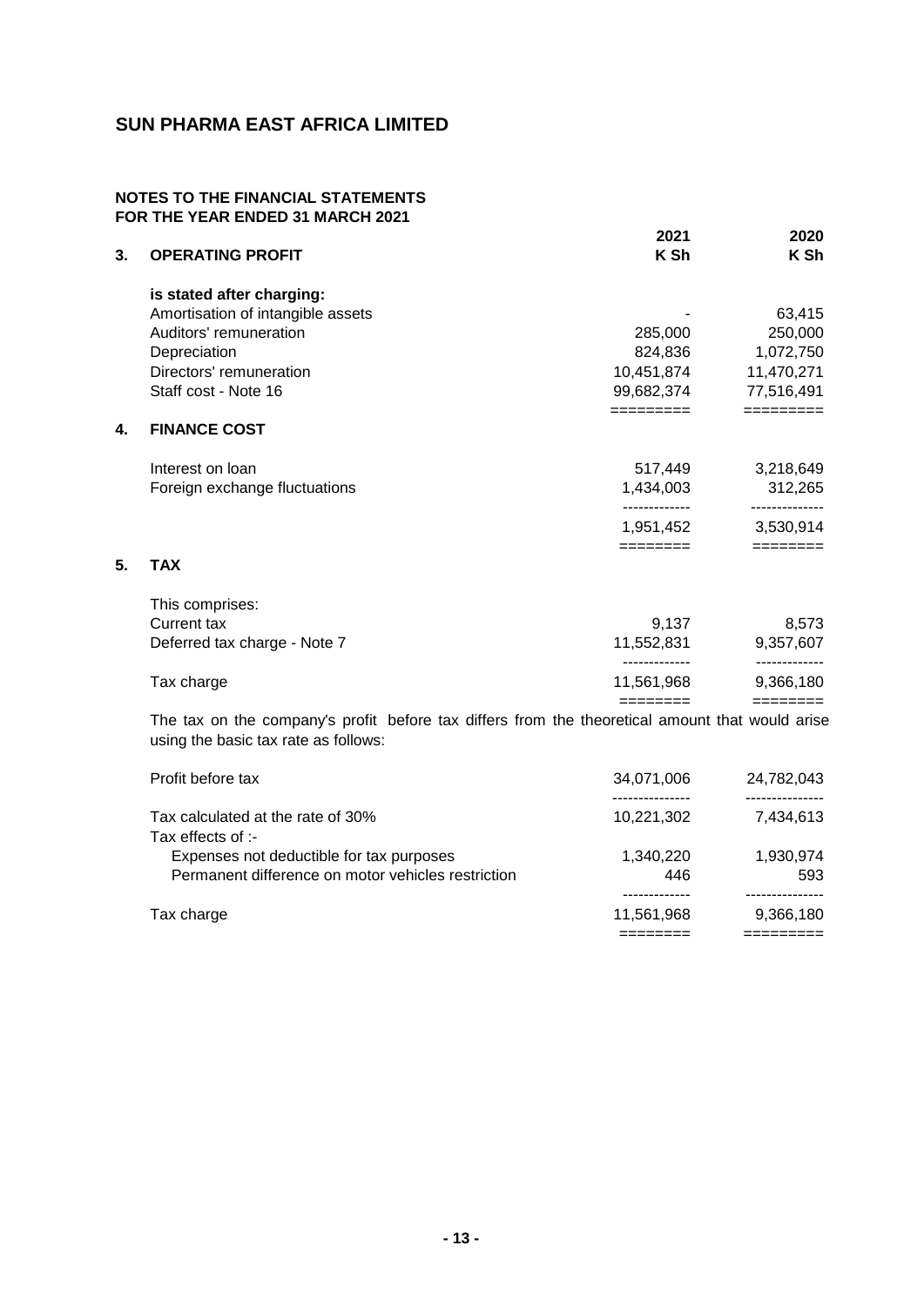### **NOTES TO THE FINANCIAL STATEMENTS FOR THE YEAR ENDED 31 MARCH 2021**

| 3. | <b>OPERATING PROFIT</b>           | 2021<br>K Sh | 2020<br>K Sh             |
|----|-----------------------------------|--------------|--------------------------|
|    | is stated after charging:         |              |                          |
|    | Amortisation of intangible assets |              | 63,415                   |
|    | Auditors' remuneration            | 285,000      | 250,000                  |
|    | Depreciation                      | 824,836      | 1,072,750                |
|    | Directors' remuneration           | 10,451,874   | 11,470,271               |
|    | Staff cost - Note 16              | 99,682,374   | 77,516,491               |
|    |                                   |              |                          |
| 4. | <b>FINANCE COST</b>               |              |                          |
|    | Interest on loan                  | 517,449      | 3,218,649                |
|    | Foreign exchange fluctuations     | 1,434,003    | 312,265                  |
|    |                                   | 1,951,452    | -----------<br>3,530,914 |
| 5. | <b>TAX</b>                        | ========     | ========                 |
|    | This comprises:                   |              |                          |
|    | Current tax                       | 9,137        | 8,573                    |
|    | Deferred tax charge - Note 7      | 11,552,831   | 9,357,607                |
|    | Tax charge                        | 11,561,968   | -----------<br>9,366,180 |
|    |                                   | $=$ =======  | $=$ = = = = = = =        |

The tax on the company's profit before tax differs from the theoretical amount that would arise using the basic tax rate as follows:

| Tax charge                                         | 11.561.968 | 9,366,180  |
|----------------------------------------------------|------------|------------|
|                                                    |            |            |
| Permanent difference on motor vehicles restriction | 446        | 593        |
| Expenses not deductible for tax purposes           | 1.340.220  | 1.930.974  |
| Tax effects of :-                                  |            |            |
| Tax calculated at the rate of 30%                  | 10,221,302 | 7,434,613  |
|                                                    |            |            |
| Profit before tax                                  | 34,071,006 | 24,782,043 |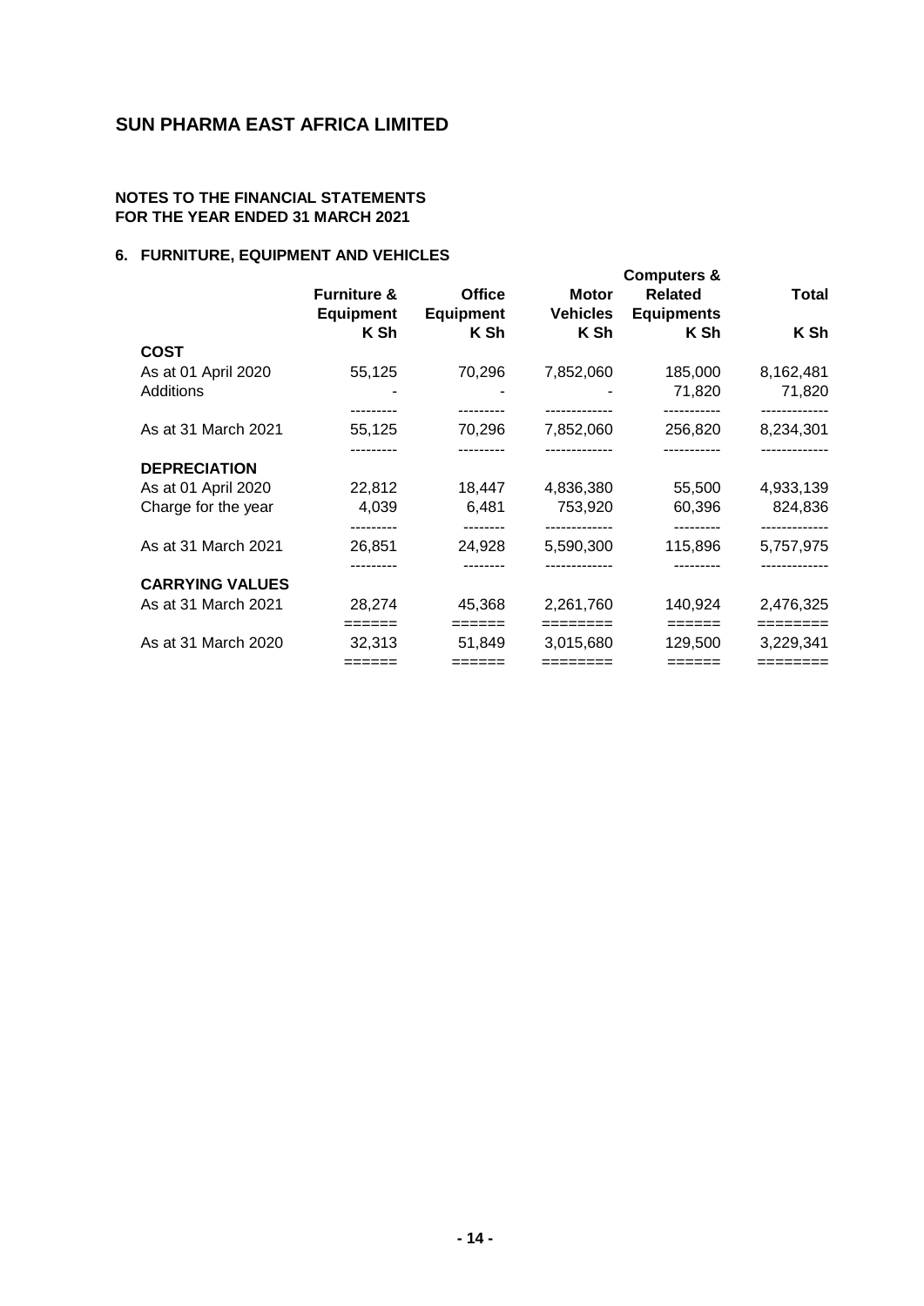## **NOTES TO THE FINANCIAL STATEMENTS FOR THE YEAR ENDED 31 MARCH 2021**

### **6. FURNITURE, EQUIPMENT AND VEHICLES**

|                                         | <b>Furniture &amp;</b>   | <b>Office</b>            | <b>Motor</b>            | <b>Computers &amp;</b><br><b>Related</b> | <b>Total</b>          |
|-----------------------------------------|--------------------------|--------------------------|-------------------------|------------------------------------------|-----------------------|
|                                         | <b>Equipment</b><br>K Sh | <b>Equipment</b><br>K Sh | <b>Vehicles</b><br>K Sh | <b>Equipments</b><br>K Sh                | K Sh                  |
| <b>COST</b>                             |                          |                          |                         |                                          |                       |
| As at 01 April 2020<br><b>Additions</b> | 55,125                   | 70,296                   | 7,852,060               | 185,000<br>71,820                        | 8,162,481<br>71,820   |
|                                         |                          |                          |                         |                                          |                       |
| As at 31 March 2021                     | 55,125                   | 70,296                   | 7,852,060               | 256,820                                  | 8,234,301             |
| <b>DEPRECIATION</b>                     |                          |                          |                         |                                          |                       |
| As at 01 April 2020                     | 22,812                   | 18,447                   | 4,836,380               | 55,500                                   | 4,933,139             |
| Charge for the year                     | 4,039                    | 6,481                    | 753,920                 | 60,396                                   | 824,836               |
| As at 31 March 2021                     | 26,851                   | 24,928                   | 5,590,300               | 115,896                                  | 5,757,975             |
| <b>CARRYING VALUES</b>                  |                          |                          |                         |                                          |                       |
| As at 31 March 2021                     | 28,274                   | 45,368<br>======         | 2,261,760<br>========   | 140,924<br>======                        | 2,476,325<br>======== |
| As at 31 March 2020                     | ======<br>32,313         | 51,849                   | 3,015,680               | 129,500                                  | 3,229,341             |
|                                         | ======                   | ======                   | ========                | $======$                                 | ========              |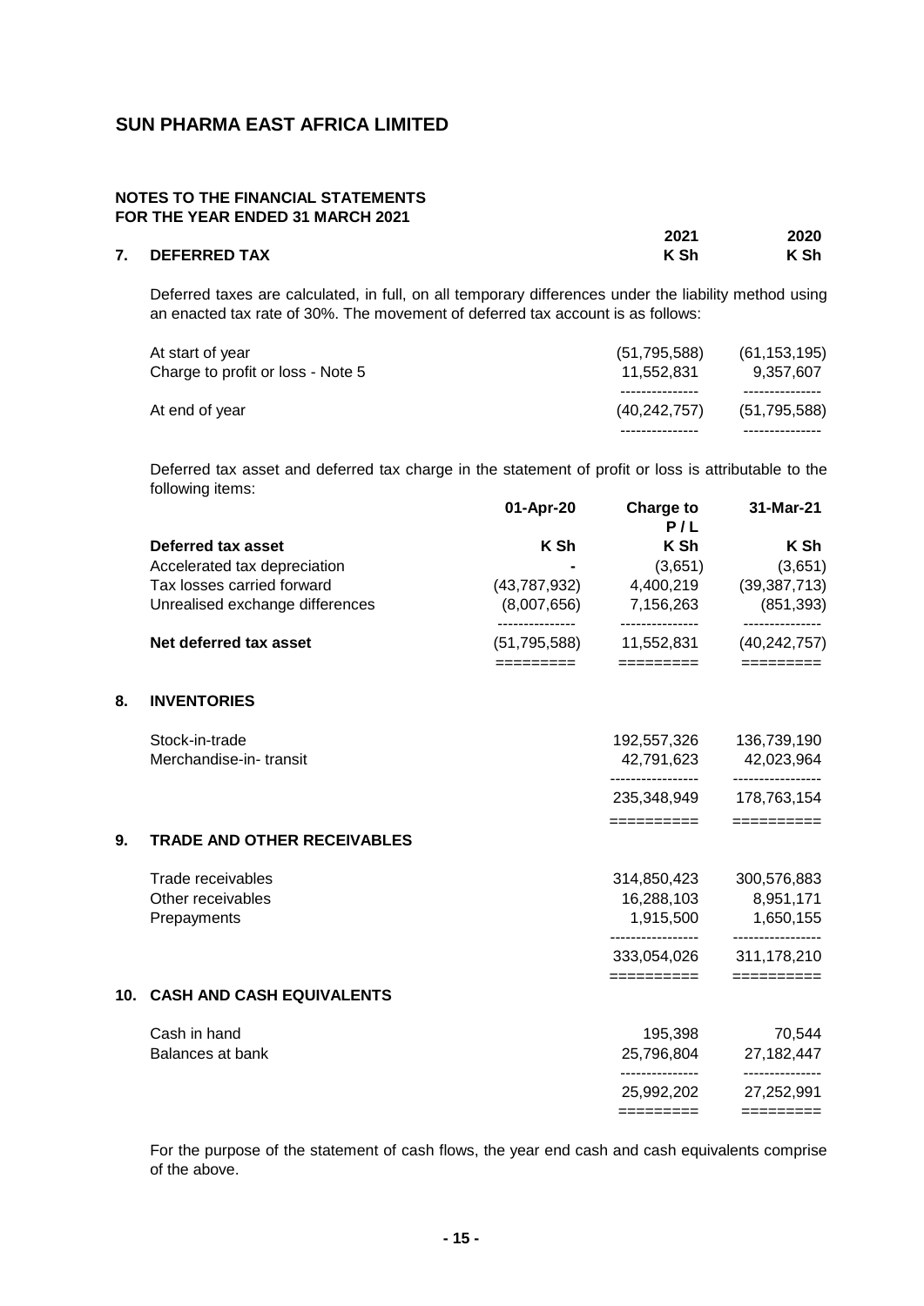### **NOTES TO THE FINANCIAL STATEMENTS FOR THE YEAR ENDED 31 MARCH 2021**

|   |                     | 2021 | 2020 |
|---|---------------------|------|------|
| 7 | <b>DEFERRED TAX</b> | K Sh | K Sh |

Deferred taxes are calculated, in full, on all temporary differences under the liability method using an enacted tax rate of 30%. The movement of deferred tax account is as follows:

| At start of year                  | (51, 795, 588) | (61, 153, 195) |
|-----------------------------------|----------------|----------------|
| Charge to profit or loss - Note 5 | 11.552.831     | 9.357.607      |
| At end of year                    | (40.242.757)   | (51, 795, 588) |

Deferred tax asset and deferred tax charge in the statement of profit or loss is attributable to the following items:

|     |                                    | 01-Apr-20                    | Charge to<br>P/L              | 31-Mar-21                       |
|-----|------------------------------------|------------------------------|-------------------------------|---------------------------------|
|     | Deferred tax asset                 | K Sh                         | K Sh                          | K Sh                            |
|     | Accelerated tax depreciation       |                              | (3,651)                       | (3,651)                         |
|     | Tax losses carried forward         | (43,787,932)                 | 4,400,219                     | (39, 387, 713)                  |
|     | Unrealised exchange differences    | (8,007,656)<br>------------- | 7,156,263<br>---------------  | (851, 393)<br>--------------    |
|     | Net deferred tax asset             | (51, 795, 588)               | 11,552,831<br>$=$ ========    | (40, 242, 757)<br>$=$ ========= |
| 8.  | <b>INVENTORIES</b>                 |                              |                               |                                 |
|     | Stock-in-trade                     |                              | 192,557,326                   | 136,739,190                     |
|     | Merchandise-in-transit             |                              | 42,791,623                    | 42,023,964                      |
|     |                                    |                              | .<br>235,348,949              | ---------------<br>178,763,154  |
| 9.  | <b>TRADE AND OTHER RECEIVABLES</b> |                              | ==========                    | $=$ = = = = = = = = = =         |
|     |                                    |                              |                               |                                 |
|     | Trade receivables                  |                              | 314,850,423                   | 300,576,883                     |
|     | Other receivables                  |                              | 16,288,103                    | 8,951,171                       |
|     | Prepayments                        |                              | 1,915,500                     | 1,650,155                       |
|     |                                    |                              | 333,054,026                   | 311,178,210                     |
| 10. | <b>CASH AND CASH EQUIVALENTS</b>   |                              | ==========                    | ==========                      |
|     |                                    |                              |                               |                                 |
|     | Cash in hand                       |                              | 195,398                       | 70,544                          |
|     | Balances at bank                   |                              | 25,796,804<br>--------------- | 27,182,447<br>-------------     |
|     |                                    |                              | 25,992,202                    | 27,252,991                      |
|     |                                    |                              | =========                     | $=$ ========                    |

For the purpose of the statement of cash flows, the year end cash and cash equivalents comprise of the above.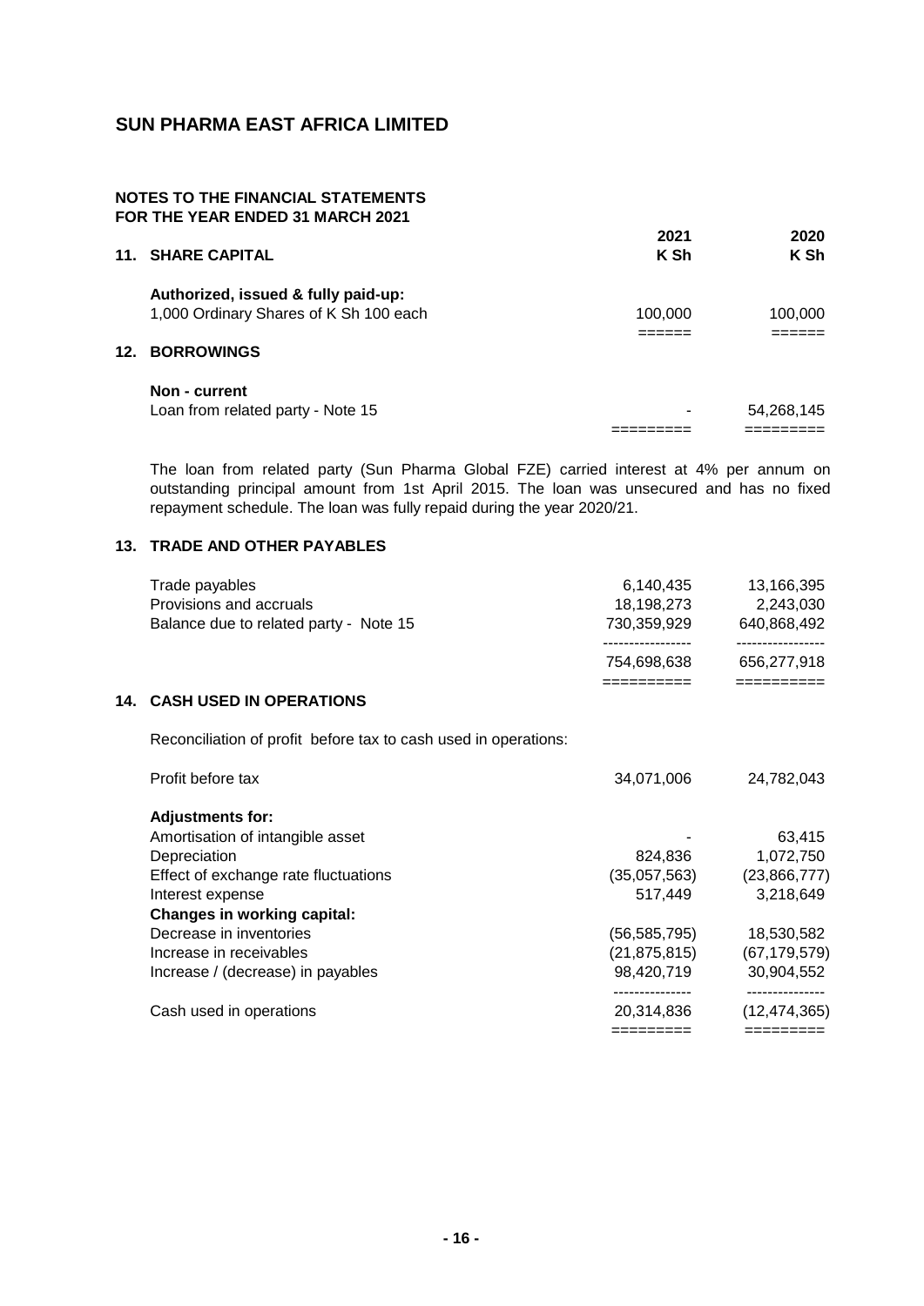### **NOTES TO THE FINANCIAL STATEMENTS FOR THE YEAR ENDED 31 MARCH 2021**

| <b>11. SHARE CAPITAL</b>               | 2021<br>K Sh | 2020<br>K Sh |
|----------------------------------------|--------------|--------------|
| Authorized, issued & fully paid-up:    |              |              |
| 1,000 Ordinary Shares of K Sh 100 each | 100.000      | 100.000      |
| <b>12. BORROWINGS</b>                  |              |              |
| Non - current                          |              |              |
| Loan from related party - Note 15      | ۰            | 54,268,145   |
|                                        |              | ----------   |

The loan from related party (Sun Pharma Global FZE) carried interest at 4% per annum on outstanding principal amount from 1st April 2015. The loan was unsecured and has no fixed repayment schedule. The loan was fully repaid during the year 2020/21.

## **13. TRADE AND OTHER PAYABLES**

| Trade payables<br>Provisions and accruals                       | 6,140,435<br>18,198,273      | 13,166,395<br>2,243,030         |
|-----------------------------------------------------------------|------------------------------|---------------------------------|
| Balance due to related party - Note 15                          | 730,359,929                  | 640,868,492                     |
|                                                                 | 754,698,638                  | 656,277,918                     |
| 14. CASH USED IN OPERATIONS                                     | ==========                   | ==========                      |
| Reconciliation of profit before tax to cash used in operations: |                              |                                 |
| Profit before tax                                               | 34,071,006                   | 24,782,043                      |
| <b>Adjustments for:</b>                                         |                              |                                 |
| Amortisation of intangible asset                                |                              | 63,415                          |
| Depreciation                                                    | 824,836                      | 1,072,750                       |
| Effect of exchange rate fluctuations                            | (35,057,563)                 | (23,866,777)                    |
| Interest expense                                                | 517,449                      | 3,218,649                       |
| <b>Changes in working capital:</b>                              |                              |                                 |
| Decrease in inventories                                         | (56, 585, 795)               | 18,530,582                      |
| Increase in receivables                                         | (21, 875, 815)               | (67, 179, 579)                  |
| Increase / (decrease) in payables                               | 98,420,719                   | 30,904,552                      |
| Cash used in operations                                         | --------------<br>20,314,836 | -------------<br>(12, 474, 365) |
|                                                                 | $=$ ========                 | =========                       |
|                                                                 |                              |                                 |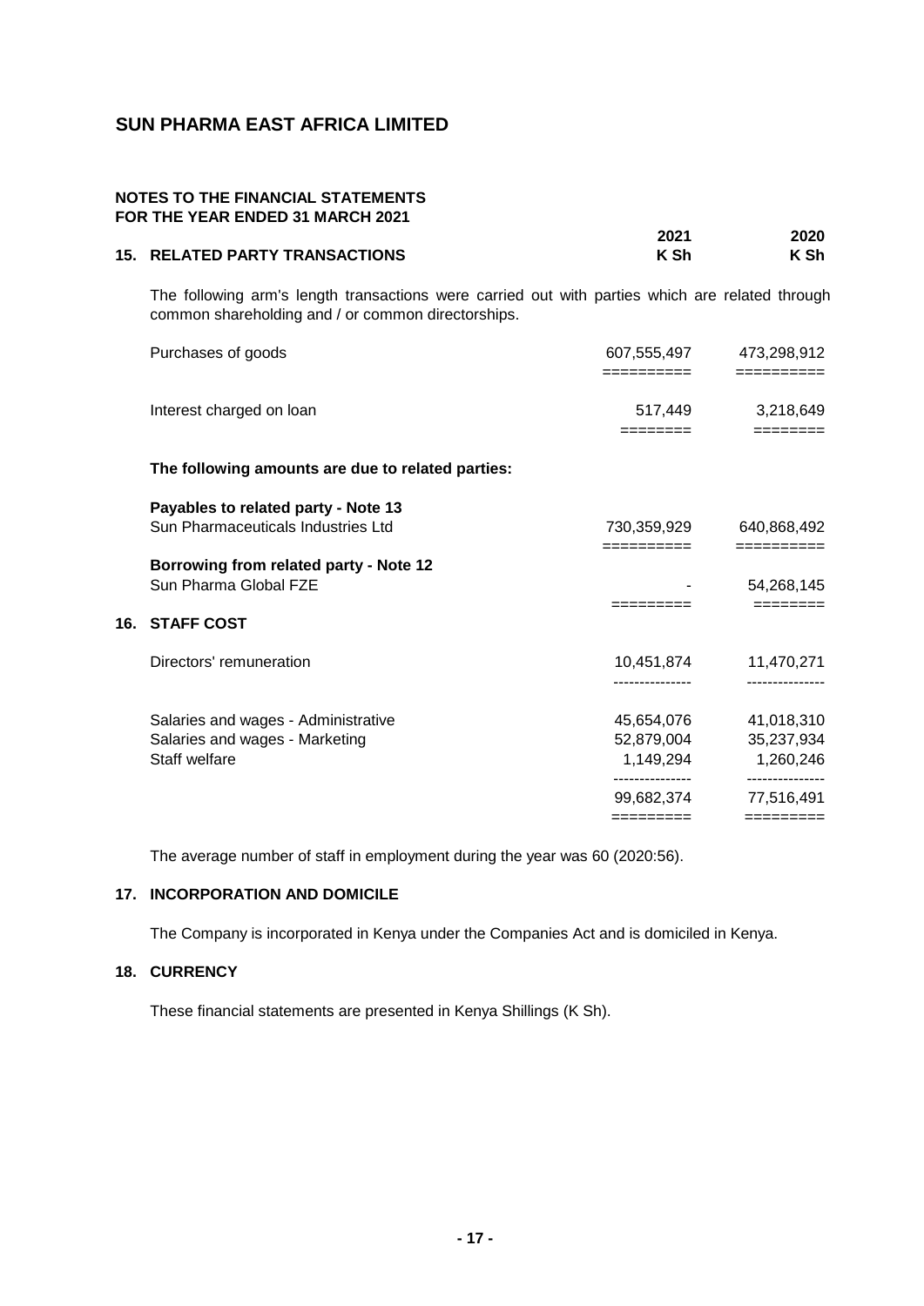### **NOTES TO THE FINANCIAL STATEMENTS FOR THE YEAR ENDED 31 MARCH 2021**

|                                       | 2021 | 2020 |
|---------------------------------------|------|------|
| <b>15. RELATED PARTY TRANSACTIONS</b> | K Sh | K Sh |

The following arm's length transactions were carried out with parties which are related through common shareholding and / or common directorships.

| Interest charged on loan | 517.449     | 3,218,649   |
|--------------------------|-------------|-------------|
| Purchases of goods       | 607.555.497 | 473.298.912 |
|                          |             |             |

#### **The following amounts are due to related parties:**

| Payables to related party - Note 13<br>Sun Pharmaceuticals Industries Ltd | 730,359,929     | 640,868,492   |
|---------------------------------------------------------------------------|-----------------|---------------|
|                                                                           |                 |               |
| Borrowing from related party - Note 12                                    |                 |               |
| Sun Pharma Global FZE                                                     |                 | 54,268,145    |
|                                                                           |                 |               |
| <b>STAFF COST</b>                                                         |                 |               |
| Directors' remuneration                                                   | 10,451,874      | 11,470,271    |
|                                                                           | --------------- |               |
| Salaries and wages - Administrative                                       | 45.654.076      | 41.018.310    |
| Salaries and wages - Marketing                                            | 52.879.004      | 35.237.934    |
| Staff welfare                                                             | 1,149,294       | 1,260,246     |
|                                                                           | --------------- | ------------- |
|                                                                           | 99,682,374      | 77,516,491    |
|                                                                           | =========       | ========      |

The average number of staff in employment during the year was 60 (2020:56).

## **17. INCORPORATION AND DOMICILE**

The Company is incorporated in Kenya under the Companies Act and is domiciled in Kenya.

### **18. CURRENCY**

**16.** 

These financial statements are presented in Kenya Shillings (K Sh).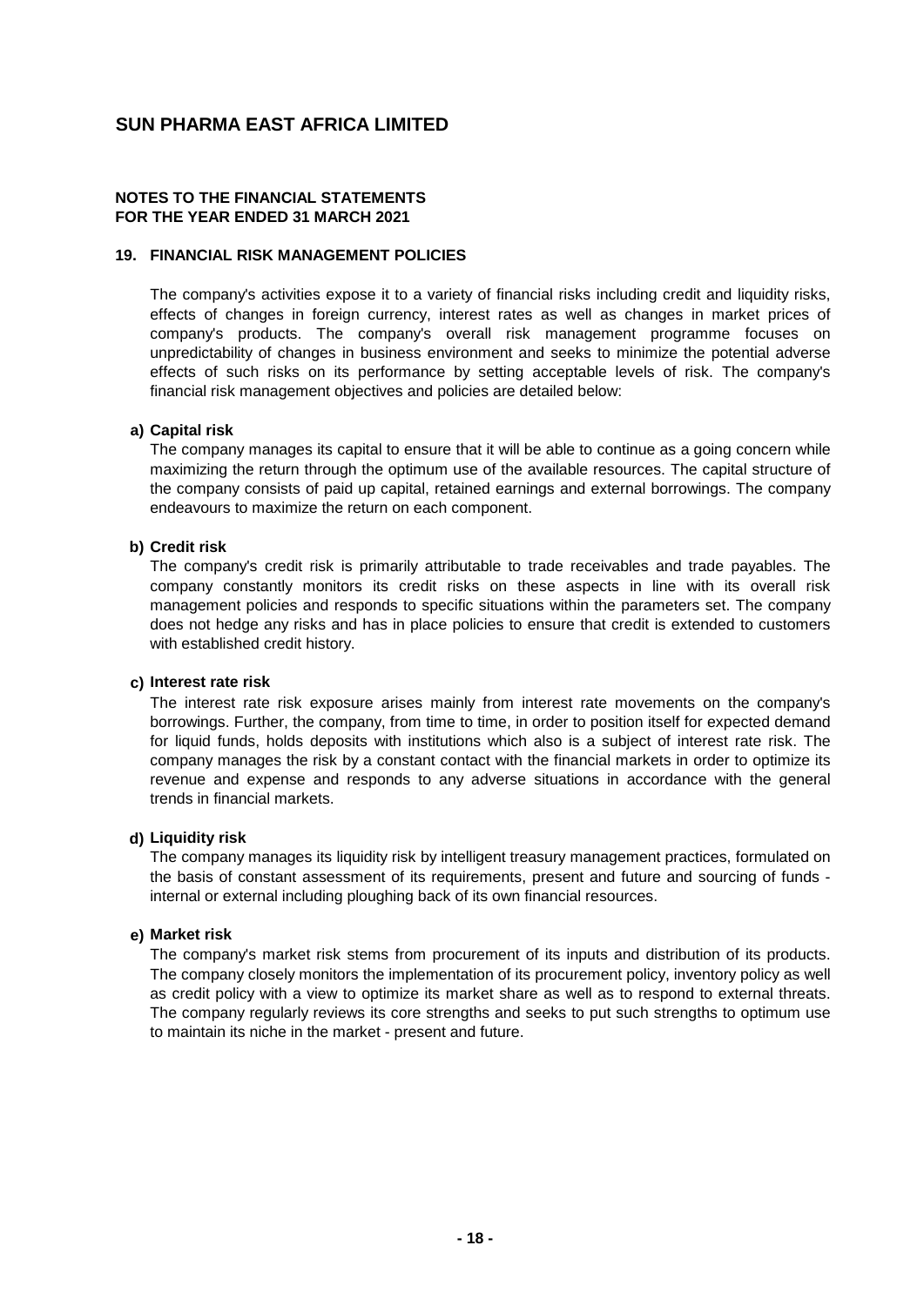### **NOTES TO THE FINANCIAL STATEMENTS FOR THE YEAR ENDED 31 MARCH 2021**

#### **19. FINANCIAL RISK MANAGEMENT POLICIES**

The company's activities expose it to a variety of financial risks including credit and liquidity risks, effects of changes in foreign currency, interest rates as well as changes in market prices of company's products. The company's overall risk management programme focuses on unpredictability of changes in business environment and seeks to minimize the potential adverse effects of such risks on its performance by setting acceptable levels of risk. The company's financial risk management objectives and policies are detailed below:

#### **a) Capital risk**

The company manages its capital to ensure that it will be able to continue as a going concern while maximizing the return through the optimum use of the available resources. The capital structure of the company consists of paid up capital, retained earnings and external borrowings. The company endeavours to maximize the return on each component.

#### **b) Credit risk**

The company's credit risk is primarily attributable to trade receivables and trade payables. The company constantly monitors its credit risks on these aspects in line with its overall risk management policies and responds to specific situations within the parameters set. The company does not hedge any risks and has in place policies to ensure that credit is extended to customers with established credit history.

#### **c) Interest rate risk**

The interest rate risk exposure arises mainly from interest rate movements on the company's borrowings. Further, the company, from time to time, in order to position itself for expected demand for liquid funds, holds deposits with institutions which also is a subject of interest rate risk. The company manages the risk by a constant contact with the financial markets in order to optimize its revenue and expense and responds to any adverse situations in accordance with the general trends in financial markets.

#### **d) Liquidity risk**

The company manages its liquidity risk by intelligent treasury management practices, formulated on the basis of constant assessment of its requirements, present and future and sourcing of funds internal or external including ploughing back of its own financial resources.

#### **e) Market risk**

The company's market risk stems from procurement of its inputs and distribution of its products. The company closely monitors the implementation of its procurement policy, inventory policy as well as credit policy with a view to optimize its market share as well as to respond to external threats. The company regularly reviews its core strengths and seeks to put such strengths to optimum use to maintain its niche in the market - present and future.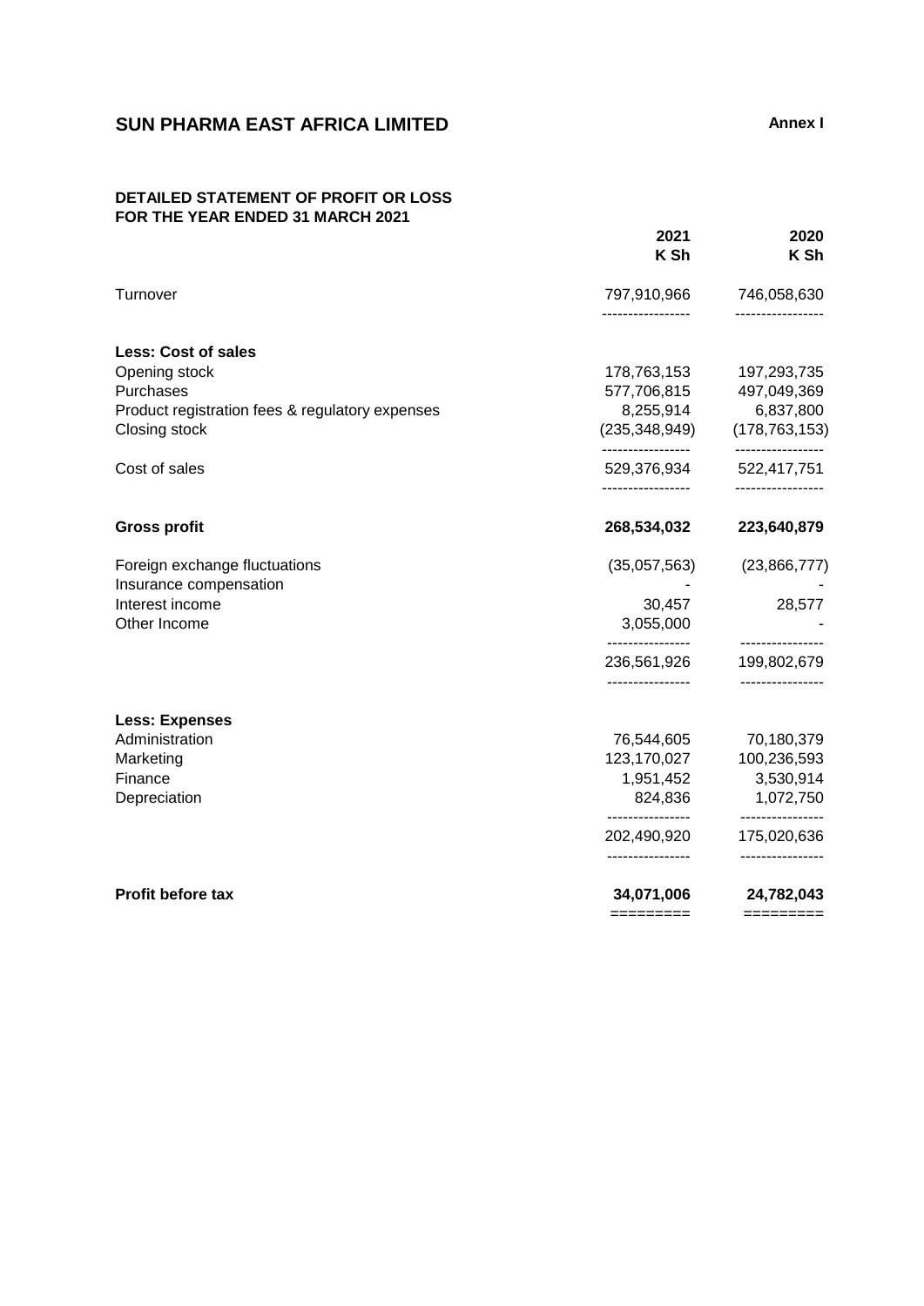## **SUN PHARMA EAST AFRICA LIMITED Annex I**

## **DETAILED STATEMENT OF PROFIT OR LOSS FOR THE YEAR ENDED 31 MARCH 2021**

|                                                 | 2021<br>K Sh                                        | 2020<br>K Sh                                        |
|-------------------------------------------------|-----------------------------------------------------|-----------------------------------------------------|
| Turnover                                        | .                                                   | 797,910,966 746,058,630<br>-----------------        |
| <b>Less: Cost of sales</b>                      |                                                     |                                                     |
| Opening stock                                   | 178,763,153                                         | 197,293,735                                         |
| Purchases                                       | 577,706,815                                         | 497,049,369                                         |
| Product registration fees & regulatory expenses | 8,255,914                                           | 6,837,800                                           |
| Closing stock                                   | (235, 348, 949)                                     | (178, 763, 153)                                     |
| Cost of sales                                   | -----------------<br>529,376,934                    | -----------------<br>522,417,751<br>--------------- |
| <b>Gross profit</b>                             | 268,534,032                                         | 223,640,879                                         |
| Foreign exchange fluctuations                   | (35,057,563)                                        | (23,866,777)                                        |
| Insurance compensation                          |                                                     |                                                     |
| Interest income                                 | 30,457                                              | 28,577                                              |
| Other Income                                    | 3,055,000                                           |                                                     |
|                                                 | 236,561,926<br>----------------                     | ---------------<br>199,802,679<br>----------------  |
| <b>Less: Expenses</b>                           |                                                     |                                                     |
| Administration                                  | 76,544,605                                          | 70,180,379                                          |
| Marketing                                       | 123,170,027                                         | 100,236,593                                         |
| Finance                                         | 1,951,452                                           | 3,530,914                                           |
| Depreciation                                    | 824,836                                             | 1,072,750                                           |
|                                                 | ----------------<br>202,490,920<br>---------------- | ----------------<br>175,020,636<br>---------------- |
| Profit before tax                               | 34,071,006                                          | 24,782,043                                          |
|                                                 | =========                                           | $=$ ========                                        |